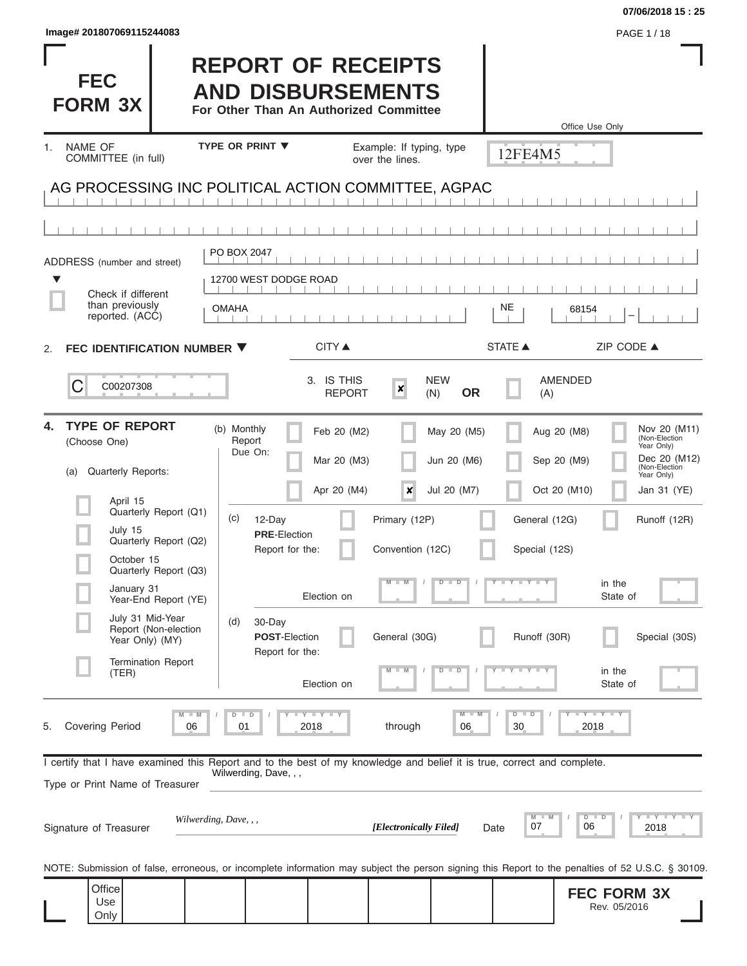| Image# 201807069115244083                                                                                                                                  |                                                                                                 |                                                               |                                           |                                            | PAGE 1 / 18                                                                                               |
|------------------------------------------------------------------------------------------------------------------------------------------------------------|-------------------------------------------------------------------------------------------------|---------------------------------------------------------------|-------------------------------------------|--------------------------------------------|-----------------------------------------------------------------------------------------------------------|
| <b>FEC</b><br><b>FORM 3X</b>                                                                                                                               | <b>REPORT OF RECEIPTS</b><br><b>AND DISBURSEMENTS</b><br>For Other Than An Authorized Committee |                                                               |                                           |                                            | Office Use Only                                                                                           |
| <b>NAME OF</b><br>$1_{-}$<br>COMMITTEE (in full)                                                                                                           | <b>TYPE OR PRINT ▼</b>                                                                          | Example: If typing, type<br>over the lines.                   |                                           | 12FE4M5                                    |                                                                                                           |
| AG PROCESSING INC POLITICAL ACTION COMMITTEE, AGPAC                                                                                                        |                                                                                                 |                                                               |                                           |                                            |                                                                                                           |
|                                                                                                                                                            |                                                                                                 |                                                               |                                           |                                            |                                                                                                           |
| ADDRESS (number and street)                                                                                                                                | PO BOX 2047                                                                                     |                                                               |                                           |                                            |                                                                                                           |
| ▼<br>Check if different                                                                                                                                    | 12700 WEST DODGE ROAD                                                                           |                                                               |                                           |                                            |                                                                                                           |
| than previously<br>reported. (ACC)                                                                                                                         | <b>OMAHA</b>                                                                                    |                                                               |                                           | NE                                         | 68154                                                                                                     |
| FEC IDENTIFICATION NUMBER ▼<br>2.                                                                                                                          | <b>CITY</b> ▲                                                                                   |                                                               |                                           | <b>STATE ▲</b>                             | ZIP CODE ▲                                                                                                |
| С<br>C00207308                                                                                                                                             | 3. IS THIS                                                                                      | $\boldsymbol{x}$<br><b>REPORT</b>                             | <b>NEW</b><br><b>OR</b><br>(N)            | <b>AMENDED</b><br>(A)                      |                                                                                                           |
| <b>TYPE OF REPORT</b><br>4.<br>(Choose One)<br><b>Quarterly Reports:</b><br>(a)<br>April 15                                                                | (b) Monthly<br>Report<br>Due On:                                                                | Feb 20 (M2)<br>Mar 20 (M3)<br>Apr 20 (M4)<br>$\boldsymbol{x}$ | May 20 (M5)<br>Jun 20 (M6)<br>Jul 20 (M7) | Aug 20 (M8)<br>Sep 20 (M9)<br>Oct 20 (M10) | Nov 20 (M11)<br>(Non-Election<br>Year Only)<br>Dec 20 (M12)<br>(Non-Election<br>Year Only)<br>Jan 31 (YE) |
| Quarterly Report (Q1)<br>July 15<br>Quarterly Report (Q2)<br>October 15                                                                                    | (c)<br>12-Day<br><b>PRE</b> Election<br>Report for the:                                         | Primary (12P)<br>Convention (12C)                             |                                           | General (12G)<br>Special (12S)             | Runoff (12R)                                                                                              |
| Quarterly Report (Q3)<br>January 31<br>Year-End Report (YE)                                                                                                | Election on                                                                                     | $M - M$                                                       | $D$ $D$                                   | $T$ $T$ $T$ $T$ $T$ $T$ $T$ $T$            | in the<br>State of                                                                                        |
| July 31 Mid-Year<br>Report (Non-election<br>Year Only) (MY)                                                                                                | (d)<br>30-Day<br><b>POST-Election</b><br>Report for the:                                        | General (30G)                                                 |                                           | Runoff (30R)                               | Special (30S)                                                                                             |
| <b>Termination Report</b><br>(TER)                                                                                                                         | Election on                                                                                     | $-W$                                                          | $\Box$<br>т                               |                                            | in the<br>State of                                                                                        |
| $\blacksquare$ M<br><b>Covering Period</b><br>06<br>5.                                                                                                     | $D$ $D$<br>Y I Y I Y<br>01<br>2018                                                              | through                                                       | $M - M$<br>06                             | $D$ $D$<br>30                              | $\mathbb{I}$ $\uparrow$ $\mathbb{I}$ $\uparrow$ $\mathbb{I}$ $\uparrow$<br>2018                           |
| I certify that I have examined this Report and to the best of my knowledge and belief it is true, correct and complete.<br>Type or Print Name of Treasurer | Wilwerding, Dave, , ,                                                                           |                                                               |                                           |                                            |                                                                                                           |
| Signature of Treasurer                                                                                                                                     | Wilwerding, Dave, , ,                                                                           | [Electronically Filed]                                        | Date                                      | M<br>07                                    | <b>LEYTEY LEY</b><br>$D$ $D$<br>06<br>2018                                                                |
| NOTE: Submission of false, erroneous, or incomplete information may subject the person signing this Report to the penalties of 52 U.S.C. § 30109.          |                                                                                                 |                                                               |                                           |                                            |                                                                                                           |
| Office<br>Use<br>Only                                                                                                                                      |                                                                                                 |                                                               |                                           |                                            | <b>FEC FORM 3X</b><br>Rev. 05/2016                                                                        |

**07/06/2018 15 : 25**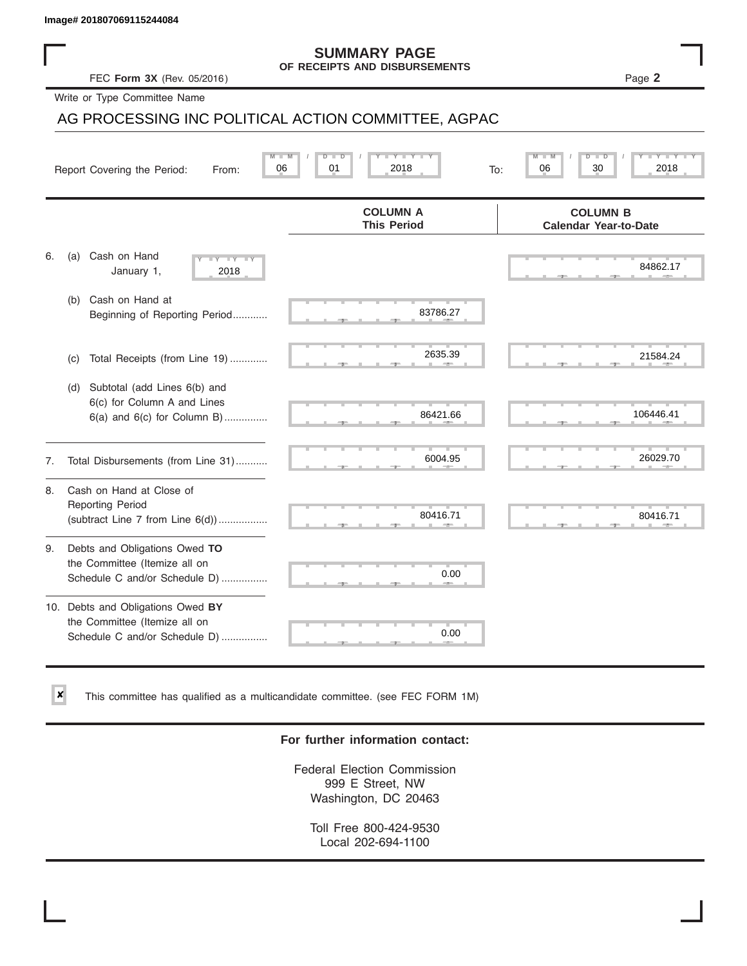✘

#### **SUMMARY PAGE OF RECEIPTS AND DISBURSEMENTS**

### AG PROCESSING INC POLITICAL ACTION COMMITTEE, AGPAC

|    | Image# 201807069115244084                                                                             |                                                      |                                                 |
|----|-------------------------------------------------------------------------------------------------------|------------------------------------------------------|-------------------------------------------------|
|    | FEC Form 3X (Rev. 05/2016)                                                                            | <b>SUMMARY PAGE</b><br>OF RECEIPTS AND DISBURSEMENTS | Page 2                                          |
|    | Write or Type Committee Name                                                                          |                                                      |                                                 |
|    | AG PROCESSING INC POLITICAL ACTION COMMITTEE, AGPAC                                                   |                                                      |                                                 |
|    | 06<br>Report Covering the Period:<br>From:                                                            | 2018<br>01<br>To:                                    | 30<br>2018<br>06                                |
|    |                                                                                                       | <b>COLUMN A</b><br><b>This Period</b>                | <b>COLUMN B</b><br><b>Calendar Year-to-Date</b> |
| 6. | Cash on Hand<br>(a)<br>$-Y - Y - IY$<br>January 1,<br>2018                                            |                                                      | 84862.17                                        |
|    | Cash on Hand at<br>(b)<br>Beginning of Reporting Period                                               | 83786.27                                             |                                                 |
|    | Total Receipts (from Line 19)<br>(c)                                                                  | 2635.39                                              | 21584.24                                        |
|    | Subtotal (add Lines 6(b) and<br>(d)<br>6(c) for Column A and Lines<br>$6(a)$ and $6(c)$ for Column B) | 86421.66                                             | 106446.41                                       |
| 7. | Total Disbursements (from Line 31)                                                                    | 6004.95                                              | 26029.70                                        |
| 8. | Cash on Hand at Close of<br><b>Reporting Period</b><br>(subtract Line $7$ from Line $6(d)$ )          | 80416.71                                             | 80416.71                                        |
| 9. | Debts and Obligations Owed TO<br>the Committee (Itemize all on<br>Schedule C and/or Schedule D)       | 0.00                                                 |                                                 |
|    | 10. Debts and Obligations Owed BY<br>the Committee (Itemize all on<br>Schedule C and/or Schedule D)   | т<br>0.00                                            |                                                 |

This committee has qualified as a multicandidate committee. (see FEC FORM 1M)

#### **For further information contact:**

Federal Election Commission 999 E Street, NW Washington, DC 20463

Toll Free 800-424-9530 Local 202-694-1100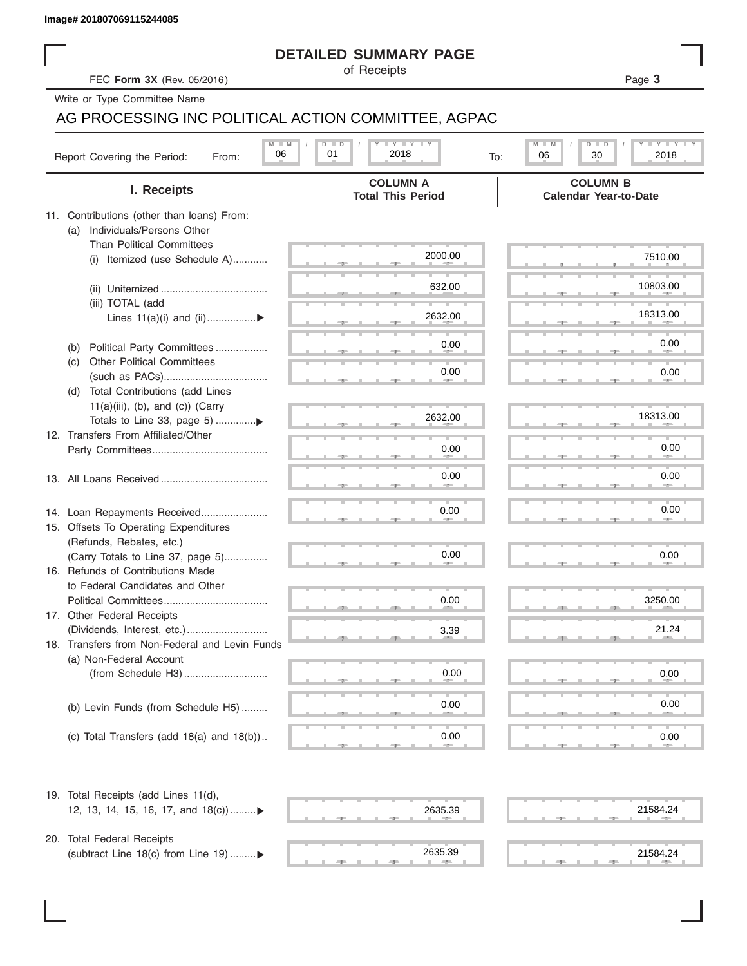### **DETAILED SUMMARY PAGE**

### AG PROCESSING INC POLITICAL ACTION COMMITTEE, AGPAC

|                                                                       | <b>DETAILED SUMMARY PAGE</b>                                     |                                                                        |
|-----------------------------------------------------------------------|------------------------------------------------------------------|------------------------------------------------------------------------|
| FEC Form 3X (Rev. 05/2016)                                            | of Receipts                                                      | Page 3                                                                 |
| Write or Type Committee Name                                          |                                                                  |                                                                        |
|                                                                       | AG PROCESSING INC POLITICAL ACTION COMMITTEE, AGPAC              |                                                                        |
| Report Covering the Period:<br>From:                                  | <b>LY LY LY</b><br>$M$ $M$<br>$D$ $D$<br>01<br>06<br>2018<br>To: | <b>LYLYLY</b><br>M<br>D<br>$\overline{\mathsf{D}}$<br>30<br>2018<br>06 |
| I. Receipts                                                           | <b>COLUMN A</b><br><b>Total This Period</b>                      | <b>COLUMN B</b><br><b>Calendar Year-to-Date</b>                        |
| 11. Contributions (other than loans) From:                            |                                                                  |                                                                        |
| Individuals/Persons Other<br>(a)<br><b>Than Political Committees</b>  |                                                                  |                                                                        |
| (i) Itemized (use Schedule A)                                         | 2000.00                                                          | 7510.00                                                                |
|                                                                       |                                                                  |                                                                        |
|                                                                       | 632.00                                                           | 10803.00                                                               |
| (iii) TOTAL (add                                                      |                                                                  | 18313.00                                                               |
| Lines 11(a)(i) and (ii)▶                                              | 2632.00                                                          |                                                                        |
| Political Party Committees<br>(b)                                     | 0.00                                                             | 0.00                                                                   |
| <b>Other Political Committees</b><br>(C)                              |                                                                  |                                                                        |
|                                                                       | 0.00                                                             | 0.00                                                                   |
| Total Contributions (add Lines<br>(d)                                 |                                                                  |                                                                        |
| $11(a)(iii)$ , (b), and (c)) (Carry<br>Totals to Line 33, page 5) ▶   | 2632.00                                                          | 18313.00                                                               |
| 12. Transfers From Affiliated/Other                                   |                                                                  |                                                                        |
|                                                                       | 0.00                                                             | 0.00                                                                   |
|                                                                       |                                                                  |                                                                        |
|                                                                       | 0.00                                                             | 0.00                                                                   |
|                                                                       |                                                                  | 0.00                                                                   |
| 14. Loan Repayments Received<br>15. Offsets To Operating Expenditures | 0.00                                                             |                                                                        |
| (Refunds, Rebates, etc.)                                              |                                                                  |                                                                        |
| (Carry Totals to Line 37, page 5)                                     | 0.00                                                             | 0.00                                                                   |
| 16. Refunds of Contributions Made                                     |                                                                  |                                                                        |
| to Federal Candidates and Other                                       |                                                                  |                                                                        |
| Political Committees                                                  | 0.00                                                             | 3250.00                                                                |
| 17. Other Federal Receipts<br>(Dividends, Interest, etc.)             | 3.39                                                             | 21.24                                                                  |
| 18. Transfers from Non-Federal and Levin Funds                        |                                                                  |                                                                        |
| (a) Non-Federal Account                                               |                                                                  |                                                                        |
|                                                                       | 0.00                                                             | 0.00                                                                   |
|                                                                       |                                                                  |                                                                        |
| (b) Levin Funds (from Schedule H5)                                    | 0.00                                                             | 0.00                                                                   |
| (c) Total Transfers (add $18(a)$ and $18(b)$ )                        | 0.00                                                             | 0.00                                                                   |
|                                                                       |                                                                  |                                                                        |
| 19. Total Receipts (add Lines 11(d),                                  |                                                                  |                                                                        |
| 12, 13, 14, 15, 16, 17, and 18(c))                                    | 2635.39                                                          | 21584.24                                                               |
| 20. Total Federal Receipts                                            |                                                                  |                                                                        |
| (subtract Line 18(c) from Line 19)▶                                   | 2635.39                                                          | 21584.24                                                               |

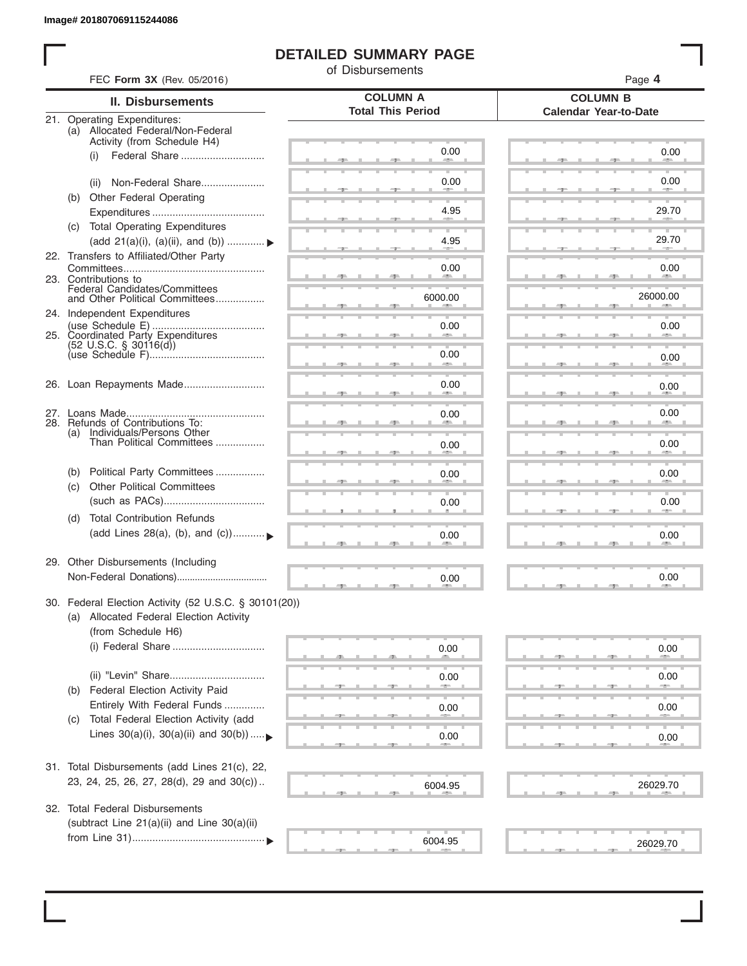I

### **DETAILED SUMMARY PAGE**

of Disbursements

| <b>II. Disbursements</b>                                                                                               | <b>COLUMN A</b><br><b>Total This Period</b> | <b>COLUMN B</b><br><b>Calendar Year-to-Date</b> |
|------------------------------------------------------------------------------------------------------------------------|---------------------------------------------|-------------------------------------------------|
| 21. Operating Expenditures:<br>(a) Allocated Federal/Non-Federal<br>Activity (from Schedule H4)                        |                                             |                                                 |
| (i)                                                                                                                    | 0.00                                        | 0.00                                            |
| Non-Federal Share<br>(ii)                                                                                              | 0.00                                        | 0.00                                            |
| Other Federal Operating<br>(b)                                                                                         | 4.95                                        | 29.70                                           |
| (c) Total Operating Expenditures<br>(add 21(a)(i), (a)(ii), and (b))                                                   | 4.95                                        | 29.70                                           |
| 22. Transfers to Affiliated/Other Party                                                                                | 0.00                                        | 0.00                                            |
| 23. Contributions to<br>Federal Candidates/Committees<br>and Other Political Committees                                | 6000.00                                     | <b>AREA</b><br>26000.00                         |
| 24. Independent Expenditures                                                                                           | 0.00                                        | 0.00                                            |
| 25. Coordinated Party Expenditures<br>$(52 \text{ U.S.C. }$ § 30116(d))                                                | 0.00                                        | 0.00                                            |
|                                                                                                                        | an a                                        |                                                 |
| 26. Loan Repayments Made                                                                                               | 0.00                                        | 0.00                                            |
| 28. Refunds of Contributions To:<br>(a) Individuals/Persons Other                                                      | 0.00                                        | 0.00                                            |
| Than Political Committees                                                                                              | 0.00                                        | 0.00                                            |
| Political Party Committees<br>(b)<br><b>Other Political Committees</b><br>(C)                                          | 0.00                                        | 0.00                                            |
|                                                                                                                        | 0.00                                        | 0.00                                            |
| <b>Total Contribution Refunds</b><br>(d)<br>(add Lines 28(a), (b), and (c))                                            | 0.00                                        | 0.00                                            |
| 29. Other Disbursements (Including                                                                                     | 0.00                                        | 0.00                                            |
| 30. Federal Election Activity (52 U.S.C. § 30101(20))<br>(a) Allocated Federal Election Activity<br>(from Schedule H6) |                                             |                                                 |
| (i) Federal Share                                                                                                      | 0.00                                        | 0.00                                            |
| Federal Election Activity Paid<br>(b)                                                                                  | 0.00                                        | 0.00                                            |
| Entirely With Federal Funds<br>Total Federal Election Activity (add<br>(C)                                             | 0.00                                        | 0.00                                            |
| Lines $30(a)(i)$ , $30(a)(ii)$ and $30(b))$                                                                            | 0.00                                        | $0.00\,$                                        |
| 31. Total Disbursements (add Lines 21(c), 22,                                                                          |                                             |                                                 |
| 23, 24, 25, 26, 27, 28(d), 29 and 30(c))                                                                               | 6004.95                                     | 26029.70                                        |
| 32. Total Federal Disbursements<br>(subtract Line 21(a)(ii) and Line 30(a)(ii)                                         |                                             |                                                 |
|                                                                                                                        | 6004.95                                     | 26029.70                                        |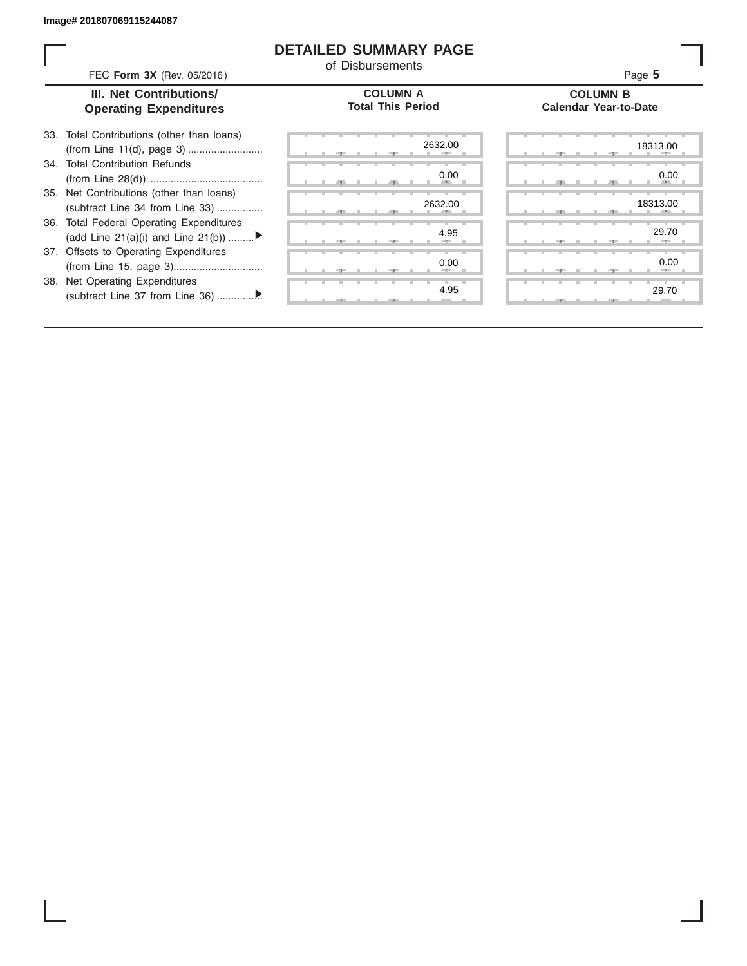ı

### **DETAILED SUMMARY PAGE**

of Disbursements

| FEC Form 3X (Rev. 05/2016)                                                     | <u>u Disnaiseilleilis</u>                   | Page 5                                          |
|--------------------------------------------------------------------------------|---------------------------------------------|-------------------------------------------------|
| III. Net Contributions/<br><b>Operating Expenditures</b>                       | <b>COLUMN A</b><br><b>Total This Period</b> | <b>COLUMN B</b><br><b>Calendar Year-to-Date</b> |
| 33. Total Contributions (other than loans)                                     | 2632.00                                     | 18313.00                                        |
| 34. Total Contribution Refunds                                                 | 0.00                                        | 0.00                                            |
| 35. Net Contributions (other than loans)<br>(subtract Line 34 from Line 33)    | 2632.00                                     | 18313.00                                        |
| 36. Total Federal Operating Expenditures<br>(add Line 21(a)(i) and Line 21(b)) | 4.95                                        | 29.70                                           |
| 37. Offsets to Operating Expenditures                                          | 0.00                                        | 0.00                                            |
| 38. Net Operating Expenditures                                                 | 4.95                                        | 29.70                                           |
|                                                                                |                                             |                                                 |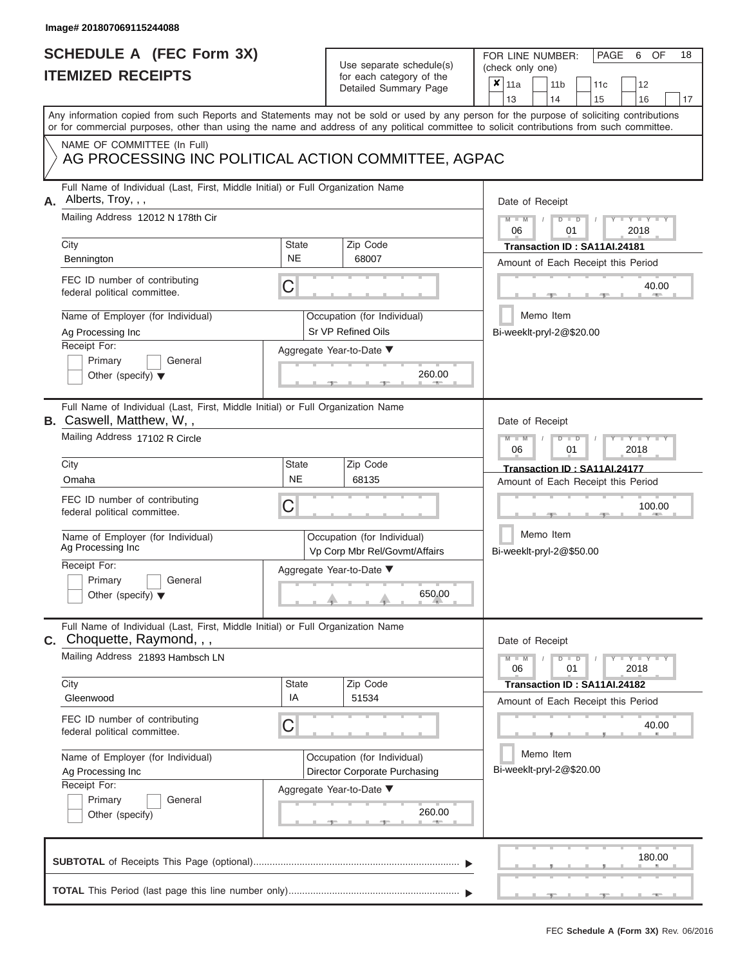# **SCHEDULE A (FEC Form 3X)**

## Use separate schedule(s)

| SCHEDULE A (FEC Form 3X)<br><b>ITEMIZED RECEIPTS</b>                                                                                                 |                           | Use separate schedule(s)<br>for each category of the<br>Detailed Summary Page | 18<br>FOR LINE NUMBER:<br>PAGE<br><b>OF</b><br>6<br>(check only one)<br>$\boldsymbol{x}$<br>11a<br>11 <sub>b</sub><br>11c<br>12                                         |
|------------------------------------------------------------------------------------------------------------------------------------------------------|---------------------------|-------------------------------------------------------------------------------|-------------------------------------------------------------------------------------------------------------------------------------------------------------------------|
| or for commercial purposes, other than using the name and address of any political committee to solicit contributions from such committee.           |                           |                                                                               | 13<br>14<br>15<br>16<br>17<br>Any information copied from such Reports and Statements may not be sold or used by any person for the purpose of soliciting contributions |
| NAME OF COMMITTEE (In Full)<br>AG PROCESSING INC POLITICAL ACTION COMMITTEE, AGPAC                                                                   |                           |                                                                               |                                                                                                                                                                         |
| Full Name of Individual (Last, First, Middle Initial) or Full Organization Name<br>Alberts, Troy, , ,<br>А.<br>Mailing Address 12012 N 178th Cir     |                           |                                                                               | Date of Receipt<br>$M - M$<br>$D$ $D$<br>$Y - Y - I$<br>06<br>01<br>2018                                                                                                |
| City<br>Bennington                                                                                                                                   | <b>State</b><br><b>NE</b> | Zip Code<br>68007                                                             | Transaction ID: SA11AI.24181<br>Amount of Each Receipt this Period                                                                                                      |
| FEC ID number of contributing<br>federal political committee.                                                                                        | С                         |                                                                               | 40.00<br><b>ARCHITECT</b>                                                                                                                                               |
| Name of Employer (for Individual)<br>Ag Processing Inc<br>Receipt For:                                                                               |                           | Occupation (for Individual)<br>Sr VP Refined Oils                             | Memo Item<br>Bi-weeklt-pryl-2@\$20.00                                                                                                                                   |
| Primary<br>General<br>Other (specify) $\blacktriangledown$                                                                                           |                           | Aggregate Year-to-Date ▼<br>260.00                                            |                                                                                                                                                                         |
| Full Name of Individual (Last, First, Middle Initial) or Full Organization Name<br><b>B.</b> Caswell, Matthew, W,,<br>Mailing Address 17102 R Circle |                           |                                                                               | Date of Receipt<br>$M - M$<br>$D$ $\Box$ $D$<br>Y Y I                                                                                                                   |
| City                                                                                                                                                 | State                     | Zip Code                                                                      | 2018<br>06<br>01<br>Transaction ID: SA11AI.24177                                                                                                                        |
| Omaha                                                                                                                                                | <b>NE</b>                 | 68135                                                                         | Amount of Each Receipt this Period                                                                                                                                      |
| FEC ID number of contributing<br>federal political committee.                                                                                        | С                         |                                                                               | 100.00                                                                                                                                                                  |
| Name of Employer (for Individual)<br>Ag Processing Inc                                                                                               |                           | Occupation (for Individual)<br>Vp Corp Mbr Rel/Govmt/Affairs                  | Memo Item<br>Bi-weeklt-pryl-2@\$50.00                                                                                                                                   |
| Receipt For:<br>Primary<br>General                                                                                                                   |                           | Aggregate Year-to-Date ▼                                                      |                                                                                                                                                                         |
| Other (specify) $\blacktriangledown$                                                                                                                 |                           | 650.00                                                                        |                                                                                                                                                                         |
| Full Name of Individual (Last, First, Middle Initial) or Full Organization Name<br><b>C.</b> Choquette, Raymond, , ,                                 |                           |                                                                               | Date of Receipt                                                                                                                                                         |
| Mailing Address 21893 Hambsch LN                                                                                                                     |                           |                                                                               | $M - M$<br>$D$ $D$<br>01<br>2018<br>06                                                                                                                                  |
| City<br>Gleenwood                                                                                                                                    | State<br>IA               | Zip Code<br>51534                                                             | Transaction ID: SA11AI.24182<br>Amount of Each Receipt this Period                                                                                                      |
| FEC ID number of contributing<br>federal political committee.                                                                                        | С                         |                                                                               | 40.00                                                                                                                                                                   |
| Name of Employer (for Individual)<br>Ag Processing Inc                                                                                               |                           | Occupation (for Individual)<br>Director Corporate Purchasing                  | Memo Item<br>Bi-weeklt-pryl-2@\$20.00                                                                                                                                   |
| Receipt For:<br>Primary<br>General<br>Other (specify)                                                                                                |                           | Aggregate Year-to-Date ▼<br>260.00                                            |                                                                                                                                                                         |
|                                                                                                                                                      |                           |                                                                               | 180.00                                                                                                                                                                  |
|                                                                                                                                                      |                           |                                                                               |                                                                                                                                                                         |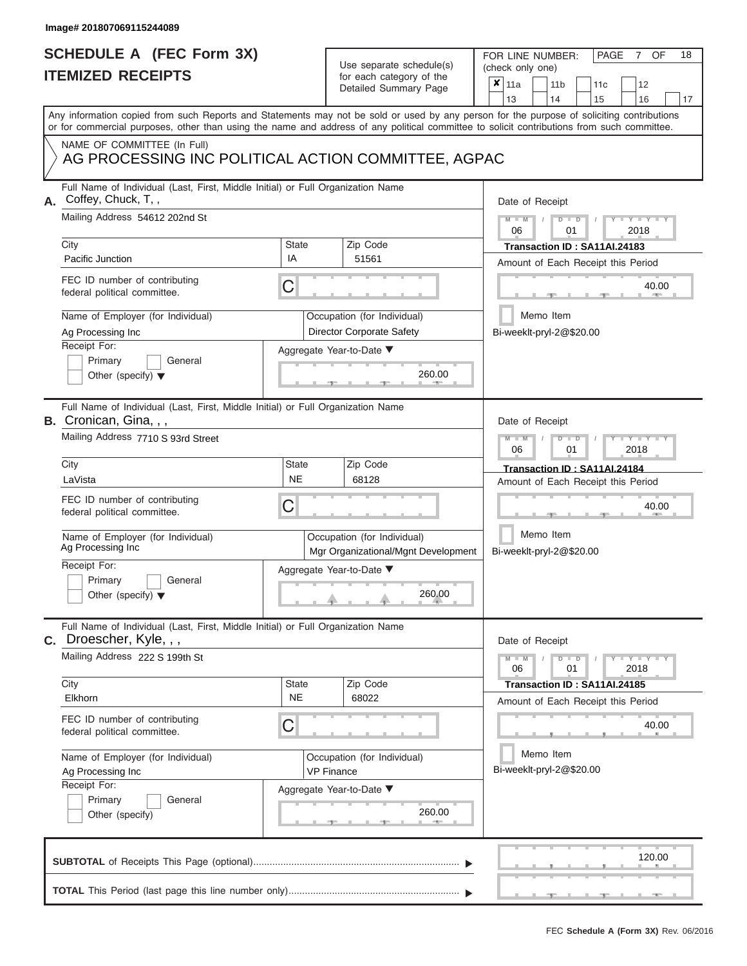# **SCHEDULE A (FEC Form 3X)**

## Use separate schedule(s)

|                                                                                                                                               | SCHEDULE A (FEC Form 3X)<br><b>ITEMIZED RECEIPTS</b>                                                                                                   |                           | Use separate schedule(s)<br>for each category of the               | 18<br>FOR LINE NUMBER:<br><b>PAGE</b><br>OF<br>7<br>(check only one)<br>$\boldsymbol{x}$<br>11a<br>11 <sub>b</sub><br>12<br>11c                                                                                                                                                         |
|-----------------------------------------------------------------------------------------------------------------------------------------------|--------------------------------------------------------------------------------------------------------------------------------------------------------|---------------------------|--------------------------------------------------------------------|-----------------------------------------------------------------------------------------------------------------------------------------------------------------------------------------------------------------------------------------------------------------------------------------|
|                                                                                                                                               |                                                                                                                                                        |                           | Detailed Summary Page                                              | 16<br>13<br>14<br>15<br>17                                                                                                                                                                                                                                                              |
|                                                                                                                                               |                                                                                                                                                        |                           |                                                                    | Any information copied from such Reports and Statements may not be sold or used by any person for the purpose of soliciting contributions<br>or for commercial purposes, other than using the name and address of any political committee to solicit contributions from such committee. |
|                                                                                                                                               | NAME OF COMMITTEE (In Full)<br>AG PROCESSING INC POLITICAL ACTION COMMITTEE, AGPAC                                                                     |                           |                                                                    |                                                                                                                                                                                                                                                                                         |
| Full Name of Individual (Last, First, Middle Initial) or Full Organization Name<br>Coffey, Chuck, T,,<br>А.<br>Mailing Address 54612 202nd St |                                                                                                                                                        |                           |                                                                    | Date of Receipt<br>$M - M$<br>$D$ $D$<br>$Y - Y - I$                                                                                                                                                                                                                                    |
| City                                                                                                                                          | Pacific Junction                                                                                                                                       | <b>State</b><br>IA        | Zip Code<br>51561                                                  | 06<br>01<br>2018<br>Transaction ID: SA11AI.24183<br>Amount of Each Receipt this Period                                                                                                                                                                                                  |
|                                                                                                                                               | FEC ID number of contributing<br>federal political committee.                                                                                          | С                         |                                                                    | 40.00                                                                                                                                                                                                                                                                                   |
|                                                                                                                                               | Name of Employer (for Individual)<br>Ag Processing Inc                                                                                                 |                           | Occupation (for Individual)<br>Director Corporate Safety           | Memo Item<br>Bi-weeklt-pryl-2@\$20.00                                                                                                                                                                                                                                                   |
|                                                                                                                                               | Receipt For:<br>Primary<br>General<br>Other (specify) $\blacktriangledown$                                                                             |                           | Aggregate Year-to-Date ▼<br>260.00                                 |                                                                                                                                                                                                                                                                                         |
|                                                                                                                                               | Full Name of Individual (Last, First, Middle Initial) or Full Organization Name<br><b>B.</b> Cronican, Gina, , ,<br>Mailing Address 7710 S 93rd Street |                           |                                                                    | Date of Receipt<br>$M - M$<br>$D$ $D$<br>Y TY                                                                                                                                                                                                                                           |
| City                                                                                                                                          |                                                                                                                                                        | <b>State</b>              | Zip Code                                                           | 2018<br>06<br>01<br>Transaction ID: SA11AI.24184                                                                                                                                                                                                                                        |
| LaVista                                                                                                                                       |                                                                                                                                                        | <b>NE</b>                 | 68128                                                              | Amount of Each Receipt this Period                                                                                                                                                                                                                                                      |
|                                                                                                                                               | FEC ID number of contributing<br>federal political committee.                                                                                          | С                         |                                                                    | 40.00                                                                                                                                                                                                                                                                                   |
|                                                                                                                                               | Name of Employer (for Individual)<br>Ag Processing Inc                                                                                                 |                           | Occupation (for Individual)<br>Mgr Organizational/Mgnt Development | Memo Item<br>Bi-weeklt-pryl-2@\$20.00                                                                                                                                                                                                                                                   |
|                                                                                                                                               | Receipt For:<br>Primary<br>General<br>Other (specify) $\blacktriangledown$                                                                             |                           | Aggregate Year-to-Date ▼<br>260.00                                 |                                                                                                                                                                                                                                                                                         |
|                                                                                                                                               | Full Name of Individual (Last, First, Middle Initial) or Full Organization Name<br>C. Droescher, Kyle, , ,                                             |                           |                                                                    | Date of Receipt                                                                                                                                                                                                                                                                         |
|                                                                                                                                               | Mailing Address 222 S 199th St                                                                                                                         |                           |                                                                    | $M - M$<br>$D$ $D$<br>$T - Y = Y + Y$<br>06<br>01<br>2018                                                                                                                                                                                                                               |
| City<br>Elkhorn                                                                                                                               |                                                                                                                                                        | <b>State</b><br><b>NE</b> | Zip Code<br>68022                                                  | Transaction ID: SA11AI.24185<br>Amount of Each Receipt this Period                                                                                                                                                                                                                      |
|                                                                                                                                               | FEC ID number of contributing<br>federal political committee.                                                                                          | С                         |                                                                    | 40.00                                                                                                                                                                                                                                                                                   |
|                                                                                                                                               | Name of Employer (for Individual)<br>Ag Processing Inc<br>Receipt For:                                                                                 |                           | Occupation (for Individual)<br><b>VP Finance</b>                   | Memo Item<br>Bi-weeklt-pryl-2@\$20.00                                                                                                                                                                                                                                                   |
|                                                                                                                                               | Primary<br>General<br>Other (specify)                                                                                                                  |                           | Aggregate Year-to-Date ▼<br>260.00                                 |                                                                                                                                                                                                                                                                                         |
|                                                                                                                                               |                                                                                                                                                        |                           |                                                                    | 120.00                                                                                                                                                                                                                                                                                  |
|                                                                                                                                               |                                                                                                                                                        |                           |                                                                    | $-1$                                                                                                                                                                                                                                                                                    |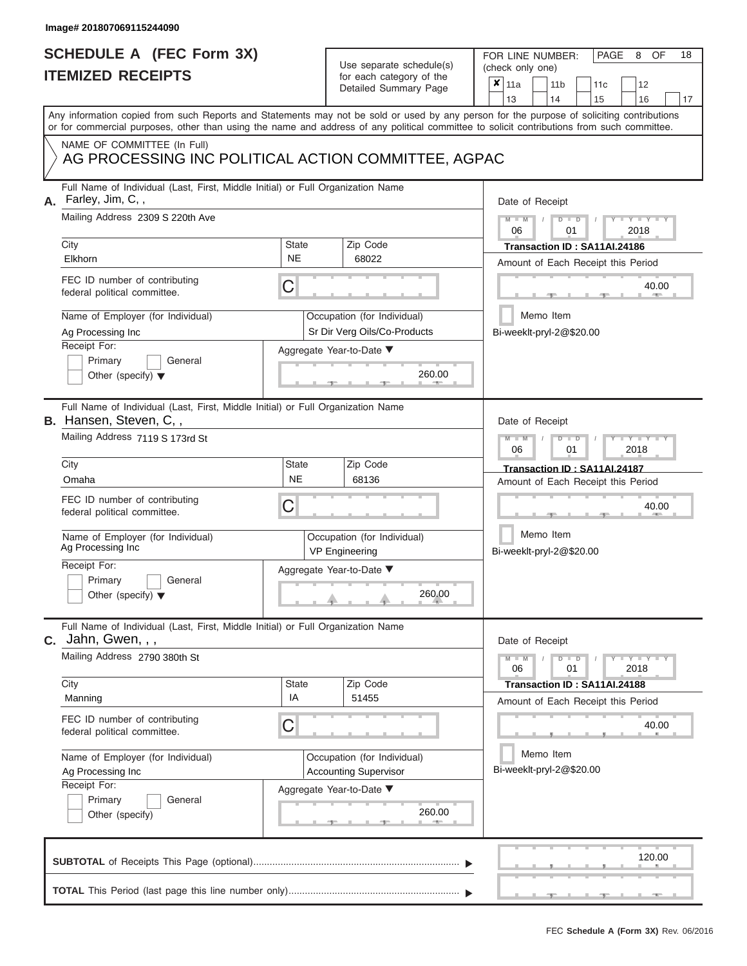# **SCHEDULE A (FEC Form 3X)**

## Use separate schedule(s)

| SCHEDULE A (FEC Form 3X)<br><b>ITEMIZED RECEIPTS</b>                                                                                                                                                                                                                                    |                                                             | Use separate schedule(s)<br>for each category of the        | 18<br>FOR LINE NUMBER:<br>PAGE<br>OF<br>8<br>(check only one)                                              |
|-----------------------------------------------------------------------------------------------------------------------------------------------------------------------------------------------------------------------------------------------------------------------------------------|-------------------------------------------------------------|-------------------------------------------------------------|------------------------------------------------------------------------------------------------------------|
|                                                                                                                                                                                                                                                                                         |                                                             | Detailed Summary Page                                       | $\boldsymbol{x}$<br>11a<br>11 <sub>b</sub><br>12<br>11c<br>16<br>13<br>14<br>15<br>17                      |
| Any information copied from such Reports and Statements may not be sold or used by any person for the purpose of soliciting contributions<br>or for commercial purposes, other than using the name and address of any political committee to solicit contributions from such committee. |                                                             |                                                             |                                                                                                            |
| NAME OF COMMITTEE (In Full)<br>AG PROCESSING INC POLITICAL ACTION COMMITTEE, AGPAC                                                                                                                                                                                                      |                                                             |                                                             |                                                                                                            |
| Full Name of Individual (Last, First, Middle Initial) or Full Organization Name<br>Farley, Jim, C,,<br>А.<br>Mailing Address 2309 S 220th Ave                                                                                                                                           |                                                             |                                                             | Date of Receipt<br>$M - M$<br>$D$ $D$<br>$Y - Y - I$<br>$\sqrt{ }$                                         |
| City                                                                                                                                                                                                                                                                                    | <b>State</b>                                                | Zip Code                                                    | 06<br>01<br>2018                                                                                           |
| Elkhorn                                                                                                                                                                                                                                                                                 | <b>NE</b>                                                   | 68022                                                       | Transaction ID: SA11AI.24186<br>Amount of Each Receipt this Period                                         |
| FEC ID number of contributing<br>federal political committee.                                                                                                                                                                                                                           | С                                                           |                                                             | 40.00                                                                                                      |
| Name of Employer (for Individual)<br>Ag Processing Inc                                                                                                                                                                                                                                  |                                                             | Occupation (for Individual)<br>Sr Dir Verg Oils/Co-Products | Memo Item<br>Bi-weeklt-pryl-2@\$20.00                                                                      |
| Receipt For:<br>Primary<br>General<br>Other (specify) $\blacktriangledown$                                                                                                                                                                                                              |                                                             | Aggregate Year-to-Date ▼<br>260.00                          |                                                                                                            |
| Full Name of Individual (Last, First, Middle Initial) or Full Organization Name<br><b>B.</b> Hansen, Steven, C,,<br>Mailing Address 7119 S 173rd St                                                                                                                                     |                                                             |                                                             | Date of Receipt<br>$M - M$<br>$D$ $D$<br>Y TY                                                              |
|                                                                                                                                                                                                                                                                                         |                                                             |                                                             | 2018<br>06<br>01                                                                                           |
| City<br>Omaha                                                                                                                                                                                                                                                                           | <b>State</b><br><b>NE</b>                                   | Zip Code<br>68136                                           | Transaction ID: SA11AI.24187<br>Amount of Each Receipt this Period                                         |
| FEC ID number of contributing<br>federal political committee.                                                                                                                                                                                                                           | С                                                           |                                                             | 40.00                                                                                                      |
| Name of Employer (for Individual)<br>Ag Processing Inc                                                                                                                                                                                                                                  |                                                             | Occupation (for Individual)<br><b>VP Engineering</b>        | Memo Item<br>Bi-weeklt-pryl-2@\$20.00                                                                      |
| Receipt For:<br>Primary<br>General                                                                                                                                                                                                                                                      |                                                             | Aggregate Year-to-Date ▼                                    |                                                                                                            |
| Other (specify) $\blacktriangledown$                                                                                                                                                                                                                                                    |                                                             | 260.00                                                      |                                                                                                            |
| Full Name of Individual (Last, First, Middle Initial) or Full Organization Name<br><b>c.</b> Jahn, Gwen, , ,                                                                                                                                                                            |                                                             |                                                             | Date of Receipt                                                                                            |
| Mailing Address 2790 380th St                                                                                                                                                                                                                                                           |                                                             |                                                             | $M - M$<br>$D$ $D$<br>$\mathbf{I} = \mathbf{Y} - \mathbf{I} - \mathbf{Y} - \mathbf{I}$<br>06<br>01<br>2018 |
| City<br>Manning                                                                                                                                                                                                                                                                         | <b>State</b><br>IA                                          | Zip Code<br>51455                                           | Transaction ID: SA11AI.24188<br>Amount of Each Receipt this Period                                         |
| FEC ID number of contributing<br>federal political committee.                                                                                                                                                                                                                           | С                                                           |                                                             | 40.00                                                                                                      |
| Name of Employer (for Individual)<br>Ag Processing Inc                                                                                                                                                                                                                                  | Occupation (for Individual)<br><b>Accounting Supervisor</b> |                                                             | Memo Item<br>Bi-weeklt-pryl-2@\$20.00                                                                      |
| Receipt For:<br>Primary<br>General<br>Other (specify)                                                                                                                                                                                                                                   |                                                             | Aggregate Year-to-Date ▼<br>260.00                          |                                                                                                            |
|                                                                                                                                                                                                                                                                                         |                                                             |                                                             | 120.00                                                                                                     |
|                                                                                                                                                                                                                                                                                         |                                                             |                                                             | $-1$                                                                                                       |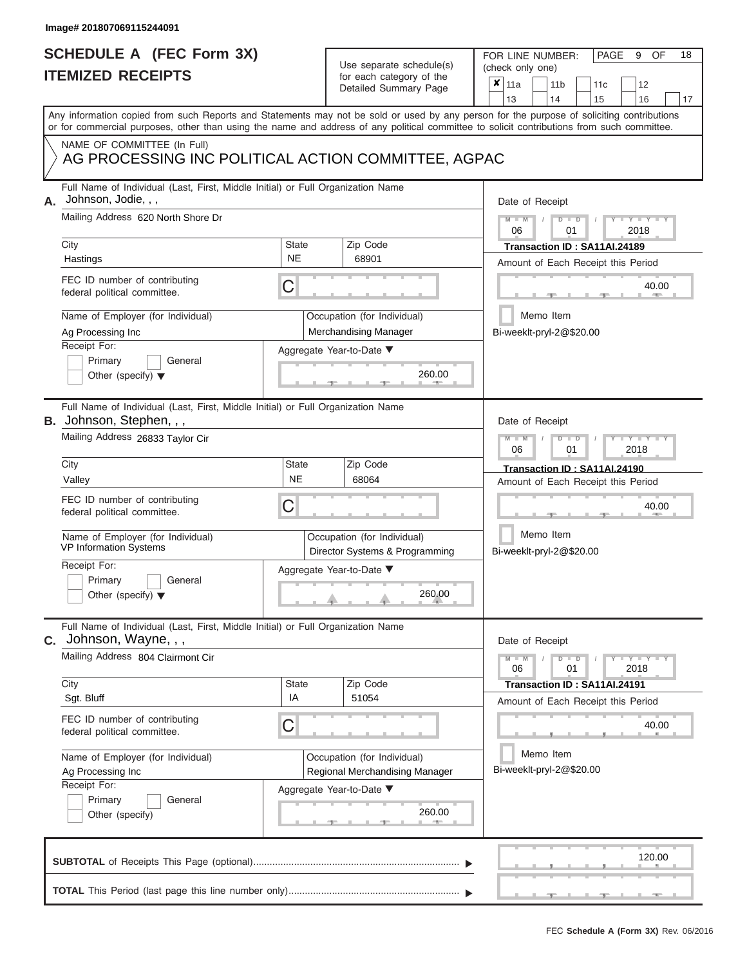# **SCHEDULE A (FEC Form 3X)**

| SCHEDULE A (FEC Form 3X)<br><b>ITEMIZED RECEIPTS</b>                                                                                                                                                                                                                                                                                                                                   |                                | Use separate schedule(s)<br>for each category of the<br>Detailed Summary Page                                            | 18<br>FOR LINE NUMBER:<br>PAGE<br><b>OF</b><br>9<br>(check only one)<br>$\boldsymbol{x}$<br>11a<br>11 <sub>b</sub><br>11c<br>12                                                                                                                       |
|----------------------------------------------------------------------------------------------------------------------------------------------------------------------------------------------------------------------------------------------------------------------------------------------------------------------------------------------------------------------------------------|--------------------------------|--------------------------------------------------------------------------------------------------------------------------|-------------------------------------------------------------------------------------------------------------------------------------------------------------------------------------------------------------------------------------------------------|
| Any information copied from such Reports and Statements may not be sold or used by any person for the purpose of soliciting contributions                                                                                                                                                                                                                                              |                                |                                                                                                                          | 13<br>14<br>15<br>16<br>17                                                                                                                                                                                                                            |
| or for commercial purposes, other than using the name and address of any political committee to solicit contributions from such committee.<br>NAME OF COMMITTEE (In Full)<br>AG PROCESSING INC POLITICAL ACTION COMMITTEE, AGPAC                                                                                                                                                       |                                |                                                                                                                          |                                                                                                                                                                                                                                                       |
| Full Name of Individual (Last, First, Middle Initial) or Full Organization Name<br>Johnson, Jodie, , ,<br>А.<br>Mailing Address 620 North Shore Dr<br>City<br>Hastings<br>FEC ID number of contributing<br>federal political committee.<br>Name of Employer (for Individual)<br>Ag Processing Inc<br>Receipt For:<br>Primary<br>General<br>Other (specify) $\blacktriangledown$        | <b>State</b><br><b>NE</b><br>С | Zip Code<br>68901<br>Occupation (for Individual)<br>Merchandising Manager<br>Aggregate Year-to-Date ▼<br>260.00          | Date of Receipt<br>$M - M$<br>$D$ $D$<br>$Y - Y - I$<br>06<br>01<br>2018<br>Transaction ID: SA11AI.24189<br>Amount of Each Receipt this Period<br>40.00<br><b>ARCHITECT</b><br>Memo Item<br>Bi-weeklt-pryl-2@\$20.00                                  |
| Full Name of Individual (Last, First, Middle Initial) or Full Organization Name<br><b>B.</b> Johnson, Stephen, , ,<br>Mailing Address 26833 Taylor Cir<br>City<br>Valley<br>FEC ID number of contributing<br>federal political committee.<br>Name of Employer (for Individual)<br>VP Information Systems<br>Receipt For:<br>Primary<br>General<br>Other (specify) $\blacktriangledown$ | State<br><b>NE</b><br>С        | Zip Code<br>68064<br>Occupation (for Individual)<br>Director Systems & Programming<br>Aggregate Year-to-Date ▼<br>260.00 | Date of Receipt<br>$M - M$<br>$D$ $\Box$ $D$<br>Y TY<br>2018<br>06<br>01<br>Transaction ID: SA11AI.24190<br>Amount of Each Receipt this Period<br>40.00<br>Memo Item<br>Bi-weeklt-pryl-2@\$20.00                                                      |
| Full Name of Individual (Last, First, Middle Initial) or Full Organization Name<br>Johnson, Wayne, , ,<br>С.<br>Mailing Address 804 Clairmont Cir<br>City<br>Sgt. Bluff<br>FEC ID number of contributing<br>federal political committee.<br>Name of Employer (for Individual)<br>Ag Processing Inc<br>Receipt For:<br>Primary<br>General<br>Other (specify)                            | State<br>IA<br>С               | Zip Code<br>51054<br>Occupation (for Individual)<br>Regional Merchandising Manager<br>Aggregate Year-to-Date ▼<br>260.00 | Date of Receipt<br>$M - M$<br>$D$ $D$<br>$\mathbf{I} = \mathbf{Y} - \mathbf{I} - \mathbf{Y} - \mathbf{I}$<br>01<br>2018<br>06<br>Transaction ID: SA11AI.24191<br>Amount of Each Receipt this Period<br>40.00<br>Memo Item<br>Bi-weeklt-pryl-2@\$20.00 |
|                                                                                                                                                                                                                                                                                                                                                                                        |                                |                                                                                                                          | 120.00                                                                                                                                                                                                                                                |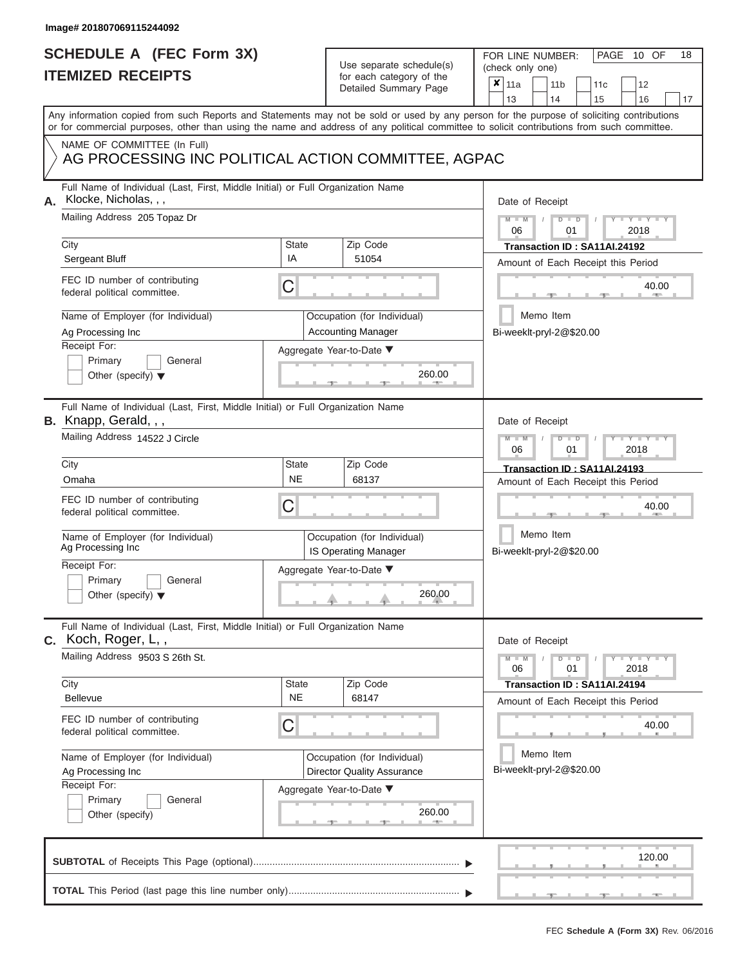### **SCHEDULE A (FEC Form 3X) ITEMIZED RECEIPTS**

| <b>ITEMIZED RECEIPTS</b>                                                                                                                                                                                                                                                                                                                                                      | Use separate schedule(s)<br>for each category of the<br>Detailed Summary Page                                                                                       | 18<br>FOR LINE NUMBER:<br>PAGE 10 OF<br>(check only one)<br>$\boldsymbol{x}$<br>11a<br>11 <sub>b</sub><br>12<br>11 <sub>c</sub><br>13<br>14                                                                                                                                                   |
|-------------------------------------------------------------------------------------------------------------------------------------------------------------------------------------------------------------------------------------------------------------------------------------------------------------------------------------------------------------------------------|---------------------------------------------------------------------------------------------------------------------------------------------------------------------|-----------------------------------------------------------------------------------------------------------------------------------------------------------------------------------------------------------------------------------------------------------------------------------------------|
| Any information copied from such Reports and Statements may not be sold or used by any person for the purpose of soliciting contributions<br>or for commercial purposes, other than using the name and address of any political committee to solicit contributions from such committee.<br>NAME OF COMMITTEE (In Full)<br>AG PROCESSING INC POLITICAL ACTION COMMITTEE, AGPAC |                                                                                                                                                                     | 15<br>16<br>17                                                                                                                                                                                                                                                                                |
| Full Name of Individual (Last, First, Middle Initial) or Full Organization Name<br>Klocke, Nicholas, , ,<br>Mailing Address 205 Topaz Dr<br>City<br>Sergeant Bluff<br>FEC ID number of contributing<br>federal political committee.<br>Name of Employer (for Individual)<br>Ag Processing Inc<br>Receipt For:<br>Primary<br>General<br>Other (specify) $\blacktriangledown$   | <b>State</b><br>Zip Code<br>IA<br>51054<br>C<br>Occupation (for Individual)<br><b>Accounting Manager</b><br>Aggregate Year-to-Date ▼<br>260.00<br><b>CONTRACTOR</b> | Date of Receipt<br>$M = M$ /<br>$D$ $D$<br>Y TY<br>01<br>2018<br>06<br>Transaction ID: SA11AI.24192<br>Amount of Each Receipt this Period<br>40.00<br><b>ARCHITECT</b><br>Memo Item<br>Bi-weeklt-pryl-2@\$20.00                                                                               |
| Full Name of Individual (Last, First, Middle Initial) or Full Organization Name<br>B. Knapp, Gerald, , ,<br>Mailing Address 14522 J Circle<br>City<br>Omaha<br>FEC ID number of contributing<br>federal political committee.<br>Name of Employer (for Individual)<br>Ag Processing Inc<br>Receipt For:<br>Primary<br>General<br>Other (specify) $\blacktriangledown$          | <b>State</b><br>Zip Code<br><b>NE</b><br>68137<br>C<br>Occupation (for Individual)<br><b>IS Operating Manager</b><br>Aggregate Year-to-Date ▼<br>260.00             | Date of Receipt<br>$M - M$<br>$D$ $D$<br>$\blacksquare$ $\blacksquare$ $\blacksquare$ $\blacksquare$ $\blacksquare$ $\blacksquare$<br>2018<br>06<br>01<br>Transaction ID: SA11AI.24193<br>Amount of Each Receipt this Period<br>40.00<br>Memo Item<br>Bi-weeklt-pryl-2@\$20.00                |
| Full Name of Individual (Last, First, Middle Initial) or Full Organization Name<br>$C.$ Koch, Roger, L,,<br>Mailing Address 9503 S 26th St.<br>City<br><b>Bellevue</b><br>FEC ID number of contributing<br>federal political committee.<br>Name of Employer (for Individual)<br>Ag Processing Inc<br>Receipt For:                                                             | Zip Code<br><b>State</b><br><b>NE</b><br>68147<br>C<br>Occupation (for Individual)<br><b>Director Quality Assurance</b><br>Aggregate Year-to-Date ▼                 | Date of Receipt<br>$M - M$<br>$D$ $D$<br>$\blacksquare \blacksquare \mathsf{Y} \mathrel{\sqsubseteq} \mathsf{Y} \mathrel{\sqsubseteq} \mathsf{Y}$<br>2018<br>06<br>01<br>Transaction ID: SA11AI.24194<br>Amount of Each Receipt this Period<br>40.00<br>Memo Item<br>Bi-weeklt-pryl-2@\$20.00 |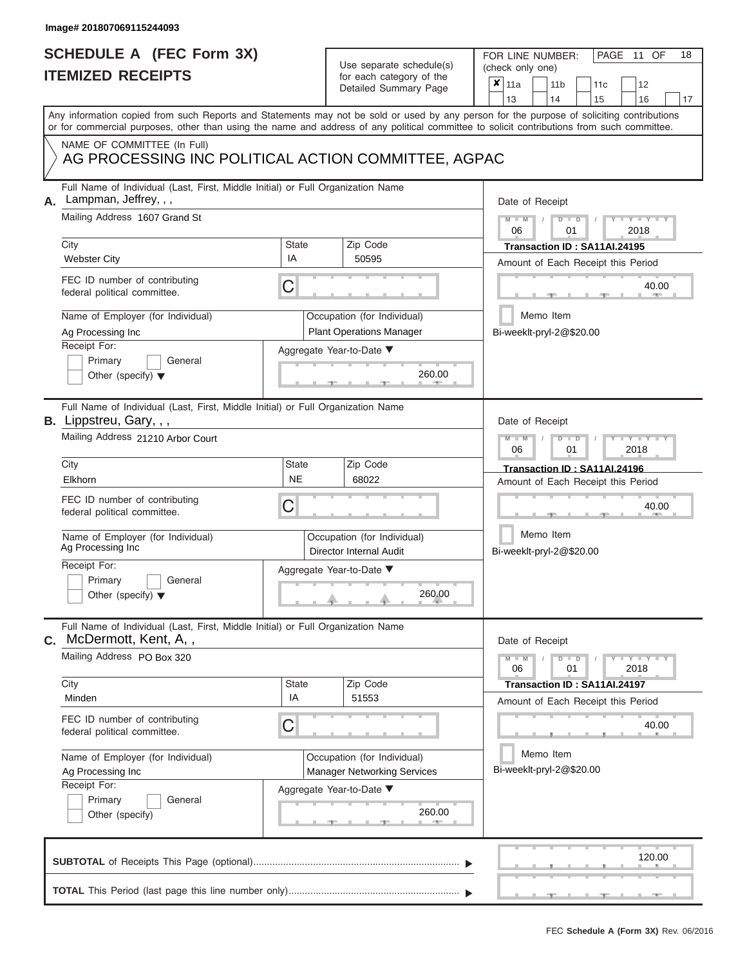# **SCHEDULE A (FEC Form 3X)**

| SCHEDULE A (FEC Form 3X)<br><b>ITEMIZED RECEIPTS</b>                                                                                                                                                                                                                                                |                         | Use separate schedule(s)<br>for each category of the<br>Detailed Summary Page                           | 18<br>FOR LINE NUMBER:<br>PAGE 11 OF<br>(check only one)<br>$\boldsymbol{x}$<br>11a<br>11 <sub>b</sub><br>12<br>11c                                                                                              |
|-----------------------------------------------------------------------------------------------------------------------------------------------------------------------------------------------------------------------------------------------------------------------------------------------------|-------------------------|---------------------------------------------------------------------------------------------------------|------------------------------------------------------------------------------------------------------------------------------------------------------------------------------------------------------------------|
| Any information copied from such Reports and Statements may not be sold or used by any person for the purpose of soliciting contributions                                                                                                                                                           |                         |                                                                                                         | 13<br>14<br>15<br>16<br>17                                                                                                                                                                                       |
| or for commercial purposes, other than using the name and address of any political committee to solicit contributions from such committee.<br>NAME OF COMMITTEE (In Full)<br>AG PROCESSING INC POLITICAL ACTION COMMITTEE, AGPAC                                                                    |                         |                                                                                                         |                                                                                                                                                                                                                  |
| Full Name of Individual (Last, First, Middle Initial) or Full Organization Name<br>Lampman, Jeffrey, , ,<br>Mailing Address 1607 Grand St<br>City<br><b>Webster City</b><br>FEC ID number of contributing<br>federal political committee.<br>Name of Employer (for Individual)<br>Ag Processing Inc | <b>State</b><br>IA<br>C | Zip Code<br>50595<br>Occupation (for Individual)<br><b>Plant Operations Manager</b>                     | Date of Receipt<br>$M$ = $M$ /<br>$D$ $D$<br>Y TY T<br>06<br>2018<br>01<br>Transaction ID : SA11AI.24195<br>Amount of Each Receipt this Period<br>40.00<br><b>ATTOR</b><br>Memo Item<br>Bi-weeklt-pryl-2@\$20.00 |
| Receipt For:<br>Primary<br>General<br>Other (specify) $\blacktriangledown$                                                                                                                                                                                                                          |                         | Aggregate Year-to-Date ▼<br>260.00                                                                      |                                                                                                                                                                                                                  |
| Full Name of Individual (Last, First, Middle Initial) or Full Organization Name<br><b>B.</b> Lippstreu, Gary, , ,<br>Mailing Address 21210 Arbor Court<br>City                                                                                                                                      | <b>State</b>            | Zip Code                                                                                                | Date of Receipt<br>$M - M$<br>$D$ $D$<br>$Y$ $Y$ $Y$<br>2018<br>06<br>01                                                                                                                                         |
| Elkhorn<br>FEC ID number of contributing<br>federal political committee.<br>Name of Employer (for Individual)<br>Ag Processing Inc<br>Receipt For:<br>Primary<br>General<br>Other (specify) $\blacktriangledown$                                                                                    | <b>NE</b><br>C          | 68022<br>Occupation (for Individual)<br>Director Internal Audit<br>Aggregate Year-to-Date ▼<br>260.00   | Transaction ID: SA11AI.24196<br>Amount of Each Receipt this Period<br>40.00<br>Memo Item<br>Bi-weeklt-pryl-2@\$20.00                                                                                             |
| Full Name of Individual (Last, First, Middle Initial) or Full Organization Name<br>McDermott, Kent, A,,<br>$\mathbf{C}$ .<br>Mailing Address PO Box 320<br>City                                                                                                                                     | <b>State</b>            | Zip Code                                                                                                | Date of Receipt<br>$M - M$<br>$D$ $D$<br>$T - Y = T - Y$<br>06<br>01<br>2018<br>Transaction ID: SA11AI.24197                                                                                                     |
| Minden<br>FEC ID number of contributing<br>federal political committee.                                                                                                                                                                                                                             | IA<br>C                 | 51553                                                                                                   | Amount of Each Receipt this Period<br>40.00                                                                                                                                                                      |
| Name of Employer (for Individual)<br>Ag Processing Inc<br>Receipt For:<br>Primary<br>General<br>Other (specify)                                                                                                                                                                                     |                         | Occupation (for Individual)<br><b>Manager Networking Services</b><br>Aggregate Year-to-Date ▼<br>260.00 | Memo Item<br>Bi-weeklt-pryl-2@\$20.00                                                                                                                                                                            |
|                                                                                                                                                                                                                                                                                                     |                         |                                                                                                         | 120.00                                                                                                                                                                                                           |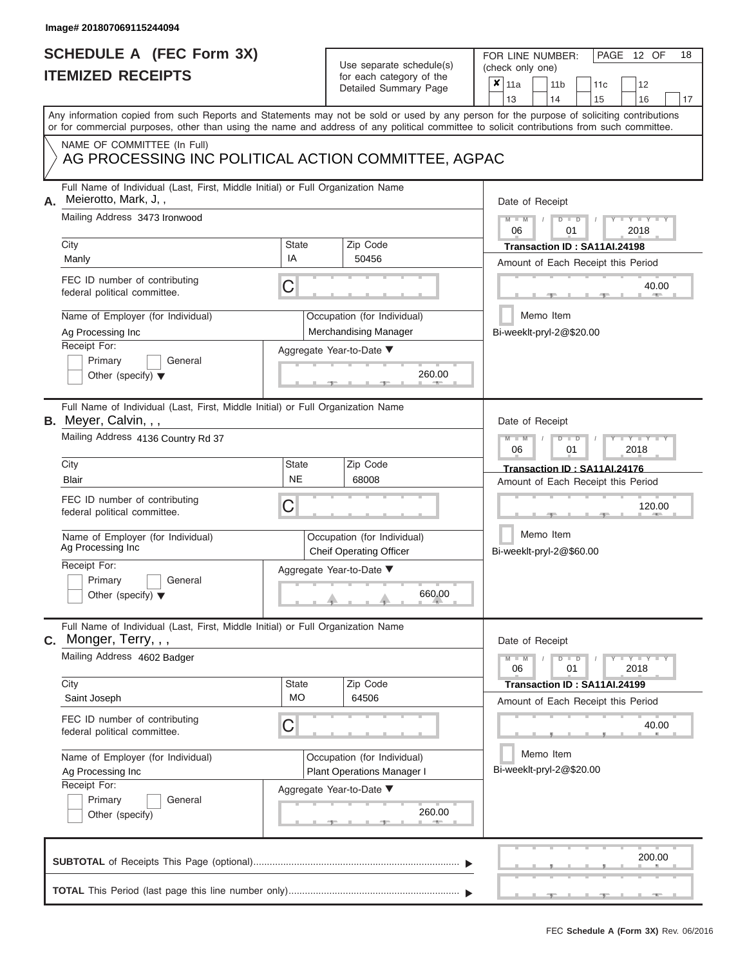# **SCHEDULE A (FEC Form 3X)**

## Use separate schedule(s)

| SCHEDULE A (FEC Form 3X)<br><b>ITEMIZED RECEIPTS</b>                                                                                           |                                                           | Use separate schedule(s)<br>for each category of the          | 18<br>FOR LINE NUMBER:<br>PAGE 12 OF<br>(check only one)                                                                                                                                                                                                                                |
|------------------------------------------------------------------------------------------------------------------------------------------------|-----------------------------------------------------------|---------------------------------------------------------------|-----------------------------------------------------------------------------------------------------------------------------------------------------------------------------------------------------------------------------------------------------------------------------------------|
|                                                                                                                                                |                                                           | Detailed Summary Page                                         | $\boldsymbol{x}$<br>11a<br>11 <sub>b</sub><br>12<br>11c<br>13<br>16<br>14<br>15<br>17                                                                                                                                                                                                   |
|                                                                                                                                                |                                                           |                                                               | Any information copied from such Reports and Statements may not be sold or used by any person for the purpose of soliciting contributions<br>or for commercial purposes, other than using the name and address of any political committee to solicit contributions from such committee. |
| NAME OF COMMITTEE (In Full)<br>AG PROCESSING INC POLITICAL ACTION COMMITTEE, AGPAC                                                             |                                                           |                                                               |                                                                                                                                                                                                                                                                                         |
| Full Name of Individual (Last, First, Middle Initial) or Full Organization Name<br>Meierotto, Mark, J,,<br>А.                                  |                                                           |                                                               | Date of Receipt                                                                                                                                                                                                                                                                         |
| Mailing Address 3473 Ironwood                                                                                                                  |                                                           |                                                               | $M - M$<br>$D$ $D$<br>$Y - Y - I$<br>06<br>01<br>2018                                                                                                                                                                                                                                   |
| City<br>Manly                                                                                                                                  | <b>State</b><br>IA                                        | Zip Code<br>50456                                             | Transaction ID: SA11AI.24198<br>Amount of Each Receipt this Period                                                                                                                                                                                                                      |
| FEC ID number of contributing<br>federal political committee.                                                                                  | С                                                         |                                                               | 40.00                                                                                                                                                                                                                                                                                   |
| Name of Employer (for Individual)<br>Ag Processing Inc                                                                                         |                                                           | Occupation (for Individual)<br>Merchandising Manager          | Memo Item<br>Bi-weeklt-pryl-2@\$20.00                                                                                                                                                                                                                                                   |
| Receipt For:<br>Primary<br>General<br>Other (specify) $\blacktriangledown$                                                                     |                                                           | Aggregate Year-to-Date ▼<br>260.00                            |                                                                                                                                                                                                                                                                                         |
| Full Name of Individual (Last, First, Middle Initial) or Full Organization Name<br>B. Meyer, Calvin, , ,<br>Mailing Address 4136 Country Rd 37 |                                                           |                                                               | Date of Receipt<br>$M - M$<br>$D$ $\Box$ $D$<br>Y TY                                                                                                                                                                                                                                    |
| City                                                                                                                                           | <b>State</b>                                              | Zip Code                                                      | 2018<br>06<br>01                                                                                                                                                                                                                                                                        |
| <b>Blair</b>                                                                                                                                   | <b>NE</b>                                                 | 68008                                                         | Transaction ID: SA11AI.24176<br>Amount of Each Receipt this Period                                                                                                                                                                                                                      |
| FEC ID number of contributing<br>federal political committee.                                                                                  | С                                                         |                                                               | 120.00                                                                                                                                                                                                                                                                                  |
| Name of Employer (for Individual)<br>Ag Processing Inc                                                                                         |                                                           | Occupation (for Individual)<br><b>Cheif Operating Officer</b> | Memo Item<br>Bi-weeklt-pryl-2@\$60.00                                                                                                                                                                                                                                                   |
| Receipt For:<br>General                                                                                                                        |                                                           | Aggregate Year-to-Date ▼                                      |                                                                                                                                                                                                                                                                                         |
| Primary<br>Other (specify) $\blacktriangledown$                                                                                                |                                                           | 660.00                                                        |                                                                                                                                                                                                                                                                                         |
| Full Name of Individual (Last, First, Middle Initial) or Full Organization Name<br>C. Monger, Terry, , ,                                       |                                                           |                                                               | Date of Receipt                                                                                                                                                                                                                                                                         |
| Mailing Address 4602 Badger                                                                                                                    |                                                           |                                                               | $M - M$<br>$D$ $D$<br>$\mathbf{I} = \mathbf{Y} - \mathbf{I} - \mathbf{Y} - \mathbf{I}$<br>06<br>01<br>2018                                                                                                                                                                              |
| City<br>Saint Joseph                                                                                                                           | <b>State</b><br><b>MO</b>                                 | Zip Code<br>64506                                             | Transaction ID: SA11AI.24199<br>Amount of Each Receipt this Period                                                                                                                                                                                                                      |
| FEC ID number of contributing<br>federal political committee.                                                                                  | С                                                         |                                                               | 40.00                                                                                                                                                                                                                                                                                   |
| Name of Employer (for Individual)<br>Ag Processing Inc                                                                                         | Occupation (for Individual)<br>Plant Operations Manager I |                                                               | Memo Item<br>Bi-weeklt-pryl-2@\$20.00                                                                                                                                                                                                                                                   |
| Receipt For:<br>Primary<br>General<br>Other (specify)                                                                                          |                                                           | Aggregate Year-to-Date ▼<br>260.00                            |                                                                                                                                                                                                                                                                                         |
|                                                                                                                                                |                                                           |                                                               | 200.00                                                                                                                                                                                                                                                                                  |
|                                                                                                                                                |                                                           |                                                               |                                                                                                                                                                                                                                                                                         |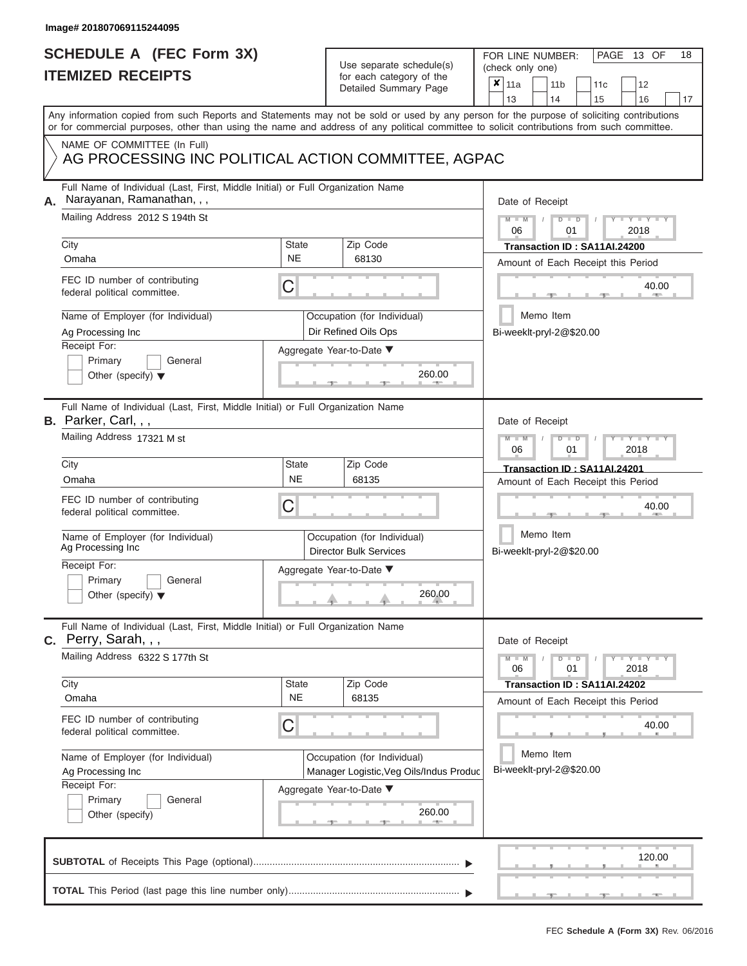### **SCHEDULE A (FEC Form 3X) ITEMIZED RECEIPTS**

### Use separate schedule(s)

| SCHEDULE A (FEC Form 3X)<br><b>ITEMIZED RECEIPTS</b>                                                                                                                                                                                                                                    |                                                              | Use separate schedule(s)                                               | FOR LINE NUMBER:<br>PAGE 13 OF<br>18<br>(check only one)                                                                                                  |  |
|-----------------------------------------------------------------------------------------------------------------------------------------------------------------------------------------------------------------------------------------------------------------------------------------|--------------------------------------------------------------|------------------------------------------------------------------------|-----------------------------------------------------------------------------------------------------------------------------------------------------------|--|
|                                                                                                                                                                                                                                                                                         |                                                              | for each category of the<br>Detailed Summary Page                      | ×<br>11a<br>11 <sub>b</sub><br>12<br>11c<br>13<br>14<br>15<br>16<br>17                                                                                    |  |
| Any information copied from such Reports and Statements may not be sold or used by any person for the purpose of soliciting contributions<br>or for commercial purposes, other than using the name and address of any political committee to solicit contributions from such committee. |                                                              |                                                                        |                                                                                                                                                           |  |
| NAME OF COMMITTEE (In Full)<br>AG PROCESSING INC POLITICAL ACTION COMMITTEE, AGPAC                                                                                                                                                                                                      |                                                              |                                                                        |                                                                                                                                                           |  |
| Full Name of Individual (Last, First, Middle Initial) or Full Organization Name<br>Narayanan, Ramanathan, , ,<br>Mailing Address 2012 S 194th St                                                                                                                                        | Date of Receipt<br>$M - M$<br>$Y - Y - T$                    |                                                                        |                                                                                                                                                           |  |
| City<br>Omaha                                                                                                                                                                                                                                                                           | State<br><b>NE</b>                                           | Zip Code<br>68130                                                      | $D$ $D$<br>06<br>2018<br>01<br>Transaction ID: SA11AI.24200                                                                                               |  |
| FEC ID number of contributing<br>federal political committee.                                                                                                                                                                                                                           | С                                                            |                                                                        | Amount of Each Receipt this Period<br>40.00<br><b>AND IN</b>                                                                                              |  |
| Name of Employer (for Individual)<br>Ag Processing Inc<br>Receipt For:                                                                                                                                                                                                                  | Occupation (for Individual)<br>Dir Refined Oils Ops          |                                                                        | Memo Item<br>Bi-weeklt-pryl-2@\$20.00                                                                                                                     |  |
| Primary<br>General<br>Other (specify) $\blacktriangledown$                                                                                                                                                                                                                              |                                                              | Aggregate Year-to-Date ▼<br>260.00<br><b>CONTRACTOR</b>                |                                                                                                                                                           |  |
| Full Name of Individual (Last, First, Middle Initial) or Full Organization Name<br><b>B.</b> Parker, Carl, , ,<br>Mailing Address 17321 M st                                                                                                                                            |                                                              |                                                                        | Date of Receipt<br>$M - M$<br>$D$ $D$<br>$\blacksquare$ $\vdash$ $\vdash$ $\vdash$ $\vdash$                                                               |  |
| City                                                                                                                                                                                                                                                                                    | <b>State</b>                                                 | Zip Code                                                               | 2018<br>06<br>01<br>Transaction ID: SA11AI.24201                                                                                                          |  |
| Omaha                                                                                                                                                                                                                                                                                   | <b>NE</b>                                                    | 68135                                                                  | Amount of Each Receipt this Period                                                                                                                        |  |
| FEC ID number of contributing<br>federal political committee.                                                                                                                                                                                                                           | С                                                            |                                                                        | 40.00                                                                                                                                                     |  |
| Name of Employer (for Individual)<br>Ag Processing Inc                                                                                                                                                                                                                                  | Occupation (for Individual)<br><b>Director Bulk Services</b> |                                                                        | Memo Item<br>Bi-weeklt-pryl-2@\$20.00                                                                                                                     |  |
| Receipt For:<br>Primary<br>General<br>Other (specify) $\blacktriangledown$                                                                                                                                                                                                              | Aggregate Year-to-Date ▼<br>260.00                           |                                                                        |                                                                                                                                                           |  |
| Full Name of Individual (Last, First, Middle Initial) or Full Organization Name<br>C. Perry, Sarah, , ,                                                                                                                                                                                 |                                                              |                                                                        | Date of Receipt                                                                                                                                           |  |
| Mailing Address 6322 S 177th St<br>City                                                                                                                                                                                                                                                 | <b>State</b>                                                 | Zip Code                                                               | $D$ $\Box$ $D$<br>$\blacksquare \blacksquare \mathsf{Y} \mathrel{\sqsubseteq} \mathsf{Y} \mathrel{\sqsubseteq} \mathsf{Y}$<br>$M - M$<br>06<br>01<br>2018 |  |
| Omaha                                                                                                                                                                                                                                                                                   | <b>NE</b>                                                    | 68135                                                                  | Transaction ID: SA11AI.24202<br>Amount of Each Receipt this Period                                                                                        |  |
| FEC ID number of contributing<br>federal political committee.                                                                                                                                                                                                                           | С                                                            |                                                                        | 40.00                                                                                                                                                     |  |
| Name of Employer (for Individual)<br>Ag Processing Inc                                                                                                                                                                                                                                  |                                                              | Occupation (for Individual)<br>Manager Logistic, Veg Oils/Indus Produc | Memo Item<br>Bi-weeklt-pryl-2@\$20.00                                                                                                                     |  |
| Receipt For:<br>Primary<br>General<br>Other (specify)                                                                                                                                                                                                                                   |                                                              | Aggregate Year-to-Date ▼<br>260.00<br>$-1$                             |                                                                                                                                                           |  |
|                                                                                                                                                                                                                                                                                         |                                                              |                                                                        | 120.00                                                                                                                                                    |  |
|                                                                                                                                                                                                                                                                                         |                                                              |                                                                        |                                                                                                                                                           |  |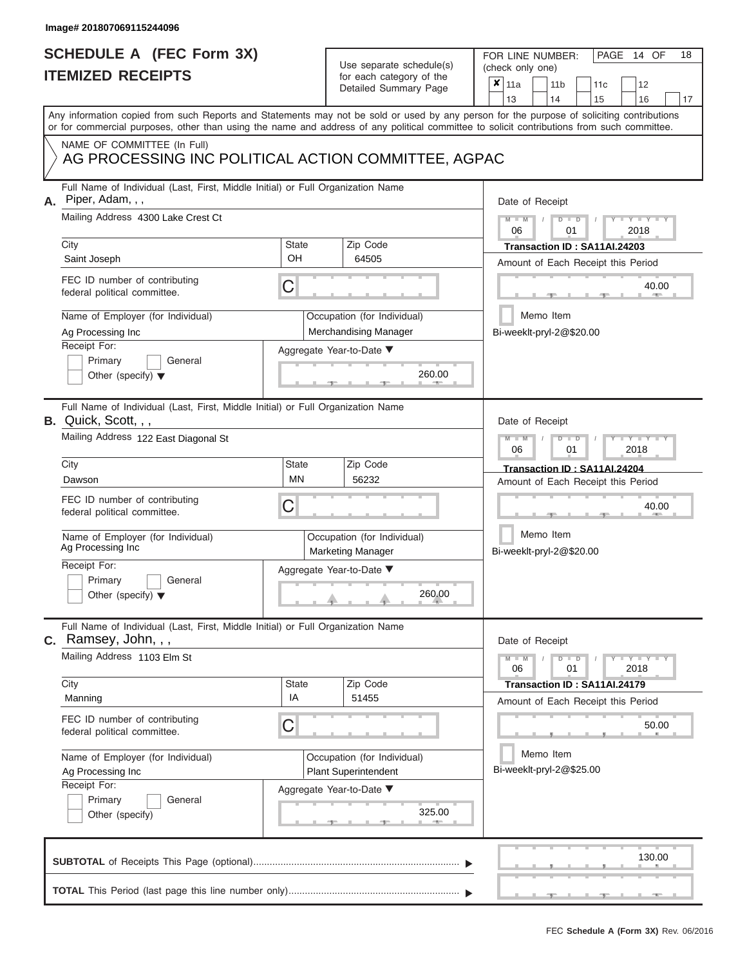# **SCHEDULE A (FEC Form 3X)**

## Use separate schedule(s)

| SCHEDULE A (FEC Form 3X)<br><b>ITEMIZED RECEIPTS</b>                                                                                                                                                                                                                                                                                                                       |                                | Use separate schedule(s)<br>for each category of the                                                                  | 18<br>FOR LINE NUMBER:<br>PAGE<br>14 OF<br>(check only one)                                                                                                                                              |
|----------------------------------------------------------------------------------------------------------------------------------------------------------------------------------------------------------------------------------------------------------------------------------------------------------------------------------------------------------------------------|--------------------------------|-----------------------------------------------------------------------------------------------------------------------|----------------------------------------------------------------------------------------------------------------------------------------------------------------------------------------------------------|
|                                                                                                                                                                                                                                                                                                                                                                            |                                | Detailed Summary Page                                                                                                 | $\boldsymbol{x}$<br>11a<br>11 <sub>b</sub><br>12<br>11 <sub>c</sub><br>13<br>14<br>15<br>16<br>17                                                                                                        |
| Any information copied from such Reports and Statements may not be sold or used by any person for the purpose of soliciting contributions<br>or for commercial purposes, other than using the name and address of any political committee to solicit contributions from such committee.                                                                                    |                                |                                                                                                                       |                                                                                                                                                                                                          |
| NAME OF COMMITTEE (In Full)<br>AG PROCESSING INC POLITICAL ACTION COMMITTEE, AGPAC                                                                                                                                                                                                                                                                                         |                                |                                                                                                                       |                                                                                                                                                                                                          |
| Full Name of Individual (Last, First, Middle Initial) or Full Organization Name<br>Piper, Adam, , ,<br>А.<br>Mailing Address 4300 Lake Crest Ct<br>City<br>Saint Joseph<br>FEC ID number of contributing<br>federal political committee.<br>Name of Employer (for Individual)                                                                                              | State<br>OH<br>С               | Zip Code<br>64505<br>Occupation (for Individual)                                                                      | Date of Receipt<br>$M - M$ /<br>$D$ $D$<br>$Y - Y - I$<br>2018<br>06<br>01<br>Transaction ID: SA11AI.24203<br>Amount of Each Receipt this Period<br>40.00<br><b>ALLEY</b><br>Memo Item                   |
| Ag Processing Inc<br>Receipt For:<br>Primary<br>General<br>Other (specify) $\blacktriangledown$                                                                                                                                                                                                                                                                            |                                | Merchandising Manager<br>Aggregate Year-to-Date ▼<br>260.00<br><b>CONTRACTOR</b>                                      | Bi-weeklt-pryl-2@\$20.00                                                                                                                                                                                 |
| Full Name of Individual (Last, First, Middle Initial) or Full Organization Name<br>B. Quick, Scott, , ,<br>Mailing Address 122 East Diagonal St<br>City<br>Dawson<br>FEC ID number of contributing<br>federal political committee.<br>Name of Employer (for Individual)<br>Ag Processing Inc<br>Receipt For:<br>Primary<br>General<br>Other (specify) $\blacktriangledown$ | <b>State</b><br><b>MN</b><br>С | Zip Code<br>56232<br>Occupation (for Individual)<br><b>Marketing Manager</b><br>Aggregate Year-to-Date ▼<br>260.00    | Date of Receipt<br>$M - M$<br>$D$ $D$<br>Y TYT<br>06<br>2018<br>01<br>Transaction ID: SA11AI.24204<br>Amount of Each Receipt this Period<br>40.00<br>Memo Item<br>Bi-weeklt-pryl-2@\$20.00               |
| Full Name of Individual (Last, First, Middle Initial) or Full Organization Name<br>$C.$ Ramsey, John, , ,<br>Mailing Address 1103 Elm St<br>City<br>Manning<br>FEC ID number of contributing<br>federal political committee.<br>Name of Employer (for Individual)<br>Ag Processing Inc<br>Receipt For:<br>Primary<br>General<br>Other (specify)                            | <b>State</b><br>IA<br>С        | Zip Code<br>51455<br>Occupation (for Individual)<br><b>Plant Superintendent</b><br>Aggregate Year-to-Date ▼<br>325.00 | Date of Receipt<br>$M - M$<br>$D$ $D$<br>$T - Y = T - Y = T$<br>01<br>2018<br>06<br>Transaction ID: SA11AI.24179<br>Amount of Each Receipt this Period<br>50.00<br>Memo Item<br>Bi-weeklt-pryl-2@\$25.00 |
|                                                                                                                                                                                                                                                                                                                                                                            |                                |                                                                                                                       | 130.00                                                                                                                                                                                                   |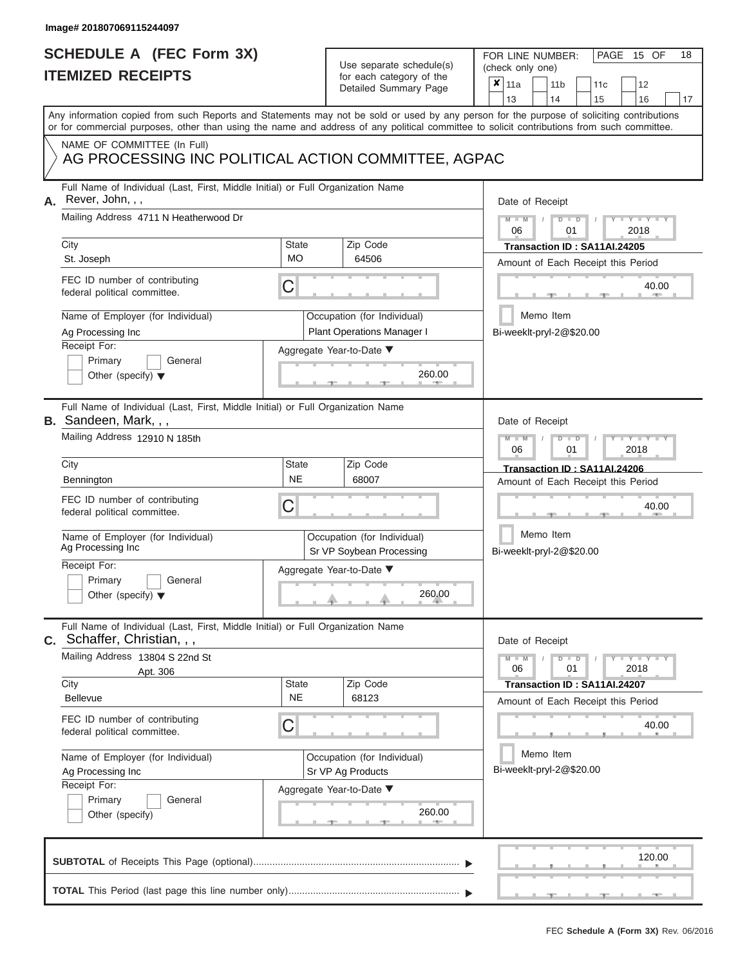# **SCHEDULE A (FEC Form 3X)**

| SCHEDULE A (FEC Form 3X)<br><b>ITEMIZED RECEIPTS</b>                                                                                               |                                                                                                        | Use separate schedule(s)                                                               | FOR LINE NUMBER:<br>PAGE<br>15 OF<br>18<br>(check only one)                                                                                                                               |
|----------------------------------------------------------------------------------------------------------------------------------------------------|--------------------------------------------------------------------------------------------------------|----------------------------------------------------------------------------------------|-------------------------------------------------------------------------------------------------------------------------------------------------------------------------------------------|
|                                                                                                                                                    |                                                                                                        | for each category of the<br>Detailed Summary Page                                      | ×<br>11a<br>11 <sub>b</sub><br>12<br>11 <sub>c</sub><br>13<br>14<br>15<br>16<br>17                                                                                                        |
| or for commercial purposes, other than using the name and address of any political committee to solicit contributions from such committee.         |                                                                                                        |                                                                                        | Any information copied from such Reports and Statements may not be sold or used by any person for the purpose of soliciting contributions                                                 |
| NAME OF COMMITTEE (In Full)<br>AG PROCESSING INC POLITICAL ACTION COMMITTEE, AGPAC                                                                 |                                                                                                        |                                                                                        |                                                                                                                                                                                           |
| Full Name of Individual (Last, First, Middle Initial) or Full Organization Name<br>Rever, John, , ,<br>А.<br>Mailing Address 4711 N Heatherwood Dr |                                                                                                        |                                                                                        | Date of Receipt<br>$M - M$<br>$D$ $D$<br>$Y - Y - I$<br>06<br>2018<br>01                                                                                                                  |
| City<br>St. Joseph                                                                                                                                 | <b>State</b><br><b>MO</b>                                                                              | Zip Code<br>64506                                                                      | Transaction ID: SA11AI.24205<br>Amount of Each Receipt this Period                                                                                                                        |
| FEC ID number of contributing<br>federal political committee.                                                                                      | C                                                                                                      |                                                                                        | 40.00<br><b>AREA</b>                                                                                                                                                                      |
| Name of Employer (for Individual)<br>Ag Processing Inc<br>Receipt For:<br>Primary<br>General<br>Other (specify) $\blacktriangledown$               | Occupation (for Individual)<br><b>Plant Operations Manager I</b><br>Aggregate Year-to-Date ▼<br>260.00 |                                                                                        | Memo Item<br>Bi-weeklt-pryl-2@\$20.00                                                                                                                                                     |
| Full Name of Individual (Last, First, Middle Initial) or Full Organization Name<br>B. Sandeen, Mark, , ,<br>Mailing Address 12910 N 185th          |                                                                                                        |                                                                                        | Date of Receipt<br>$M - M$<br>$D$ $D$<br>Y I Y I                                                                                                                                          |
| City<br>Bennington                                                                                                                                 | State<br><b>NE</b>                                                                                     | Zip Code<br>68007                                                                      | 2018<br>06<br>01<br>Transaction ID: SA11AI.24206<br>Amount of Each Receipt this Period                                                                                                    |
| FEC ID number of contributing<br>federal political committee.                                                                                      | С                                                                                                      |                                                                                        | 40.00                                                                                                                                                                                     |
| Name of Employer (for Individual)<br>Ag Processing Inc                                                                                             |                                                                                                        | Occupation (for Individual)<br>Sr VP Soybean Processing                                | Memo Item<br>Bi-weeklt-pryl-2@\$20.00                                                                                                                                                     |
| Receipt For:<br>Primary<br>General<br>Other (specify) $\blacktriangledown$                                                                         |                                                                                                        | Aggregate Year-to-Date ▼<br>260.00                                                     |                                                                                                                                                                                           |
| Full Name of Individual (Last, First, Middle Initial) or Full Organization Name<br><b>C.</b> Schaffer, Christian, , ,                              |                                                                                                        |                                                                                        | Date of Receipt                                                                                                                                                                           |
| Mailing Address 13804 S 22nd St<br>Apt. 306<br>City                                                                                                | <b>State</b>                                                                                           | Zip Code                                                                               | $D$ $\Box$ $D$<br>$\blacksquare \blacksquare \mathsf{Y} \mathrel{\sqsubseteq} \mathsf{Y} \mathrel{\sqsubseteq} \mathsf{Y}$<br>$M - M$<br>01<br>2018<br>06<br>Transaction ID: SA11AI.24207 |
| <b>Bellevue</b><br>FEC ID number of contributing                                                                                                   | <b>NE</b>                                                                                              | 68123                                                                                  | Amount of Each Receipt this Period                                                                                                                                                        |
| federal political committee.                                                                                                                       | С                                                                                                      |                                                                                        | 40.00<br>Memo Item                                                                                                                                                                        |
| Name of Employer (for Individual)<br>Ag Processing Inc<br>Receipt For:<br>Primary<br>General<br>Other (specify)                                    |                                                                                                        | Occupation (for Individual)<br>Sr VP Ag Products<br>Aggregate Year-to-Date ▼<br>260.00 | Bi-weeklt-pryl-2@\$20.00                                                                                                                                                                  |
|                                                                                                                                                    |                                                                                                        |                                                                                        | 120.00                                                                                                                                                                                    |

 ▲ ▲ ▲ , , .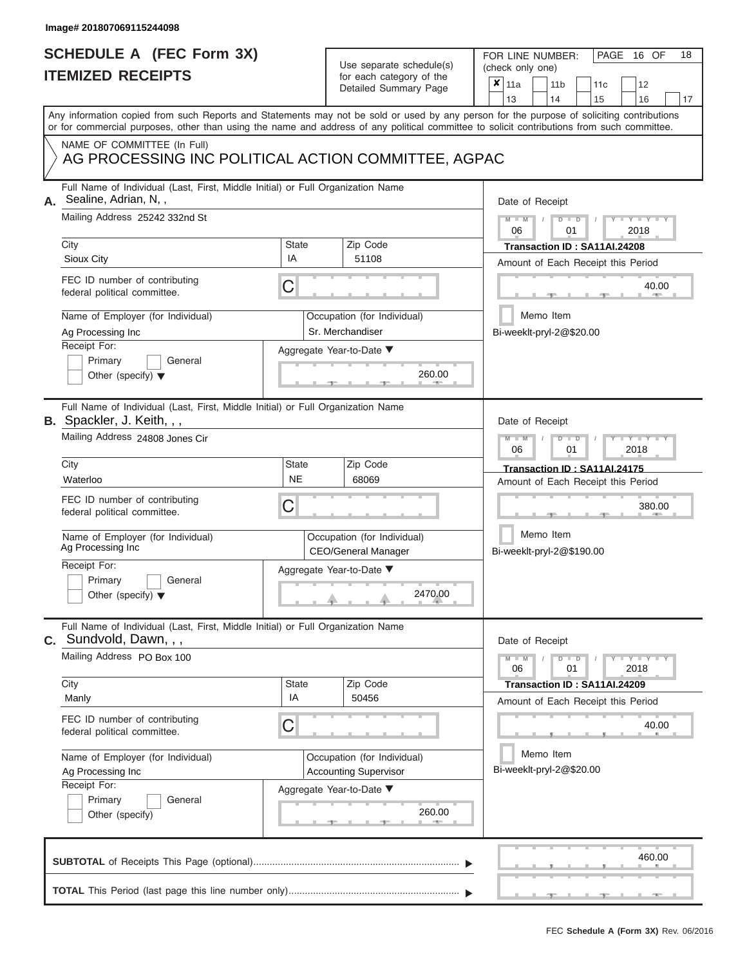# **SCHEDULE A (FEC Form 3X)**

## Use separate schedule(s)

| SCHEDULE A (FEC Form 3X)<br><b>ITEMIZED RECEIPTS</b>                                                                                                    |                                                                    | Use separate schedule(s)<br>for each category of the<br>Detailed Summary Page | 18<br>FOR LINE NUMBER:<br>PAGE<br>16 OF<br>(check only one)<br>$\boldsymbol{x}$<br>11a<br>11 <sub>b</sub><br>11c<br>12                                                  |
|---------------------------------------------------------------------------------------------------------------------------------------------------------|--------------------------------------------------------------------|-------------------------------------------------------------------------------|-------------------------------------------------------------------------------------------------------------------------------------------------------------------------|
| or for commercial purposes, other than using the name and address of any political committee to solicit contributions from such committee.              |                                                                    |                                                                               | 13<br>14<br>15<br>16<br>17<br>Any information copied from such Reports and Statements may not be sold or used by any person for the purpose of soliciting contributions |
| NAME OF COMMITTEE (In Full)<br>AG PROCESSING INC POLITICAL ACTION COMMITTEE, AGPAC                                                                      |                                                                    |                                                                               |                                                                                                                                                                         |
| Full Name of Individual (Last, First, Middle Initial) or Full Organization Name<br>A. Sealine, Adrian, N,,<br>Mailing Address 25242 332nd St            | Date of Receipt<br>$M - M$<br>$D$ $D$<br>$Y - Y - I$               |                                                                               |                                                                                                                                                                         |
| City<br>Sioux City                                                                                                                                      | <b>State</b><br>IA                                                 | Zip Code<br>51108                                                             | 06<br>01<br>2018<br>Transaction ID: SA11AI.24208<br>Amount of Each Receipt this Period                                                                                  |
| FEC ID number of contributing<br>federal political committee.                                                                                           | C                                                                  |                                                                               | 40.00<br><b>AND</b>                                                                                                                                                     |
| Name of Employer (for Individual)<br>Ag Processing Inc<br>Receipt For:                                                                                  | Occupation (for Individual)<br>Sr. Merchandiser                    |                                                                               | Memo Item<br>Bi-weeklt-pryl-2@\$20.00                                                                                                                                   |
| Primary<br>General<br>Other (specify) $\blacktriangledown$                                                                                              |                                                                    | Aggregate Year-to-Date ▼<br>260.00                                            |                                                                                                                                                                         |
| Full Name of Individual (Last, First, Middle Initial) or Full Organization Name<br><b>B.</b> Spackler, J. Keith, , ,<br>Mailing Address 24808 Jones Cir |                                                                    |                                                                               | Date of Receipt<br>$M - M$<br>$D$ $\Box$ $D$<br>Y Y I                                                                                                                   |
| City<br>Waterloo                                                                                                                                        | State<br><b>NE</b>                                                 | Zip Code<br>68069                                                             | 2018<br>06<br>01<br>Transaction ID: SA11AI.24175<br>Amount of Each Receipt this Period                                                                                  |
| FEC ID number of contributing<br>federal political committee.                                                                                           | С                                                                  |                                                                               | 380.00                                                                                                                                                                  |
| Name of Employer (for Individual)<br>Ag Processing Inc                                                                                                  | Occupation (for Individual)<br><b>CEO/General Manager</b>          |                                                                               | Memo Item<br>Bi-weeklt-pryl-2@\$190.00                                                                                                                                  |
| Receipt For:<br>Primary<br>General<br>Other (specify) $\blacktriangledown$                                                                              | Aggregate Year-to-Date ▼<br>2470.00                                |                                                                               |                                                                                                                                                                         |
| Full Name of Individual (Last, First, Middle Initial) or Full Organization Name<br>$c.$ Sundvold, Dawn, $, ,$                                           |                                                                    |                                                                               | Date of Receipt                                                                                                                                                         |
| Mailing Address PO Box 100<br>City                                                                                                                      | State                                                              | Zip Code                                                                      | $M - M$<br>$D$ $D$<br>$T-T$ $T$ $T$ $T$ $T$ $T$ $T$<br>01<br>2018<br>06<br>Transaction ID: SA11AI.24209                                                                 |
| Manly<br>FEC ID number of contributing                                                                                                                  | IA                                                                 | 50456                                                                         | Amount of Each Receipt this Period                                                                                                                                      |
| federal political committee.<br>Name of Employer (for Individual)                                                                                       | С                                                                  | Occupation (for Individual)                                                   | 40.00<br>Memo Item                                                                                                                                                      |
| Ag Processing Inc<br>Receipt For:                                                                                                                       | <b>Accounting Supervisor</b><br>Aggregate Year-to-Date ▼<br>260.00 |                                                                               | Bi-weeklt-pryl-2@\$20.00                                                                                                                                                |
| Primary<br>General<br>Other (specify)                                                                                                                   |                                                                    |                                                                               |                                                                                                                                                                         |
|                                                                                                                                                         |                                                                    |                                                                               | 460.00                                                                                                                                                                  |
|                                                                                                                                                         |                                                                    |                                                                               |                                                                                                                                                                         |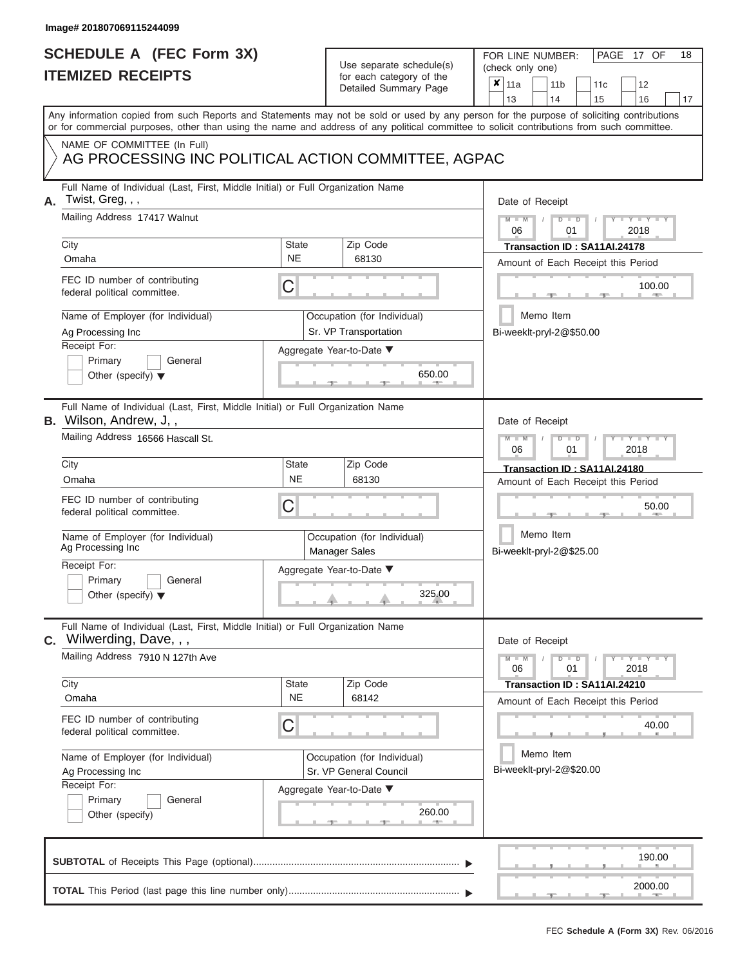## **SCHEDULE A (FEC Form 3X)**

### Use separate schedule(s)

| SCHEDULE A (FEC Form 3X)                                                                                                                                                                                                                                                                | Use separate schedule(s)                                                          | FOR LINE NUMBER:<br>PAGE 17 OF<br>18<br>(check only one)                               |
|-----------------------------------------------------------------------------------------------------------------------------------------------------------------------------------------------------------------------------------------------------------------------------------------|-----------------------------------------------------------------------------------|----------------------------------------------------------------------------------------|
| <b>ITEMIZED RECEIPTS</b>                                                                                                                                                                                                                                                                | for each category of the<br>Detailed Summary Page                                 | ×<br>11a<br>11 <sub>b</sub><br>12<br>11 <sub>c</sub><br>13<br>14<br>15<br>16<br>17     |
| Any information copied from such Reports and Statements may not be sold or used by any person for the purpose of soliciting contributions<br>or for commercial purposes, other than using the name and address of any political committee to solicit contributions from such committee. |                                                                                   |                                                                                        |
| NAME OF COMMITTEE (In Full)<br>AG PROCESSING INC POLITICAL ACTION COMMITTEE, AGPAC                                                                                                                                                                                                      |                                                                                   |                                                                                        |
| Full Name of Individual (Last, First, Middle Initial) or Full Organization Name<br>Twist, Greg, , ,<br>Α.<br>Mailing Address 17417 Walnut                                                                                                                                               | Date of Receipt<br>$M - M$<br>$D$ $D$<br>Y TY T<br>$\sqrt{ }$                     |                                                                                        |
| City<br><b>State</b><br><b>NE</b><br>Omaha                                                                                                                                                                                                                                              | Zip Code<br>68130                                                                 | 06<br>2018<br>01<br>Transaction ID: SA11AI.24178<br>Amount of Each Receipt this Period |
| FEC ID number of contributing<br>C<br>federal political committee.                                                                                                                                                                                                                      |                                                                                   | 100.00<br><b>AND IN</b>                                                                |
| Name of Employer (for Individual)<br>Ag Processing Inc<br>Receipt For:                                                                                                                                                                                                                  | Occupation (for Individual)<br>Sr. VP Transportation                              | Memo Item<br>Bi-weeklt-pryl-2@\$50.00                                                  |
| Primary<br>General<br>Other (specify) $\blacktriangledown$                                                                                                                                                                                                                              | Aggregate Year-to-Date ▼<br>650.00                                                |                                                                                        |
| Full Name of Individual (Last, First, Middle Initial) or Full Organization Name<br>B. Wilson, Andrew, J,,<br>Mailing Address 16566 Hascall St.                                                                                                                                          |                                                                                   | Date of Receipt<br>$M - M$<br>$D$ $D$<br>Y I Y I                                       |
| City<br>State                                                                                                                                                                                                                                                                           | Zip Code                                                                          | 2018<br>06<br>01<br>Transaction ID: SA11AI.24180                                       |
| <b>NE</b><br>Omaha<br>FEC ID number of contributing<br>С<br>federal political committee.                                                                                                                                                                                                | 68130                                                                             | Amount of Each Receipt this Period<br>50.00                                            |
| Name of Employer (for Individual)<br>Ag Processing Inc                                                                                                                                                                                                                                  | Occupation (for Individual)<br><b>Manager Sales</b>                               | Memo Item<br>Bi-weeklt-pryl-2@\$25.00                                                  |
| Receipt For:<br>Primary<br>General<br>Other (specify) $\blacktriangledown$                                                                                                                                                                                                              | Aggregate Year-to-Date ▼<br>325.00                                                |                                                                                        |
| Full Name of Individual (Last, First, Middle Initial) or Full Organization Name<br><b>C.</b> Wilwerding, Dave, , ,                                                                                                                                                                      |                                                                                   | Date of Receipt                                                                        |
| Mailing Address 7910 N 127th Ave                                                                                                                                                                                                                                                        | $D$ $\Box$ $D$<br>$T-T$ $T$ $T$ $T$ $T$ $T$<br>$M - M$<br>01<br>2018<br>06        |                                                                                        |
| City<br><b>State</b><br><b>NE</b><br>Omaha                                                                                                                                                                                                                                              | Zip Code<br>68142                                                                 | Transaction ID: SA11AI.24210<br>Amount of Each Receipt this Period                     |
| FEC ID number of contributing<br>С<br>federal political committee.                                                                                                                                                                                                                      |                                                                                   | 40.00                                                                                  |
| Name of Employer (for Individual)<br>Ag Processing Inc<br>Receipt For:                                                                                                                                                                                                                  | Occupation (for Individual)<br>Sr. VP General Council<br>Aggregate Year-to-Date ▼ | Memo Item<br>Bi-weeklt-pryl-2@\$20.00                                                  |
| Primary<br>General<br>Other (specify)                                                                                                                                                                                                                                                   | 260.00                                                                            |                                                                                        |
|                                                                                                                                                                                                                                                                                         |                                                                                   | 190.00                                                                                 |
|                                                                                                                                                                                                                                                                                         |                                                                                   | 2000.00<br>$\sim$                                                                      |